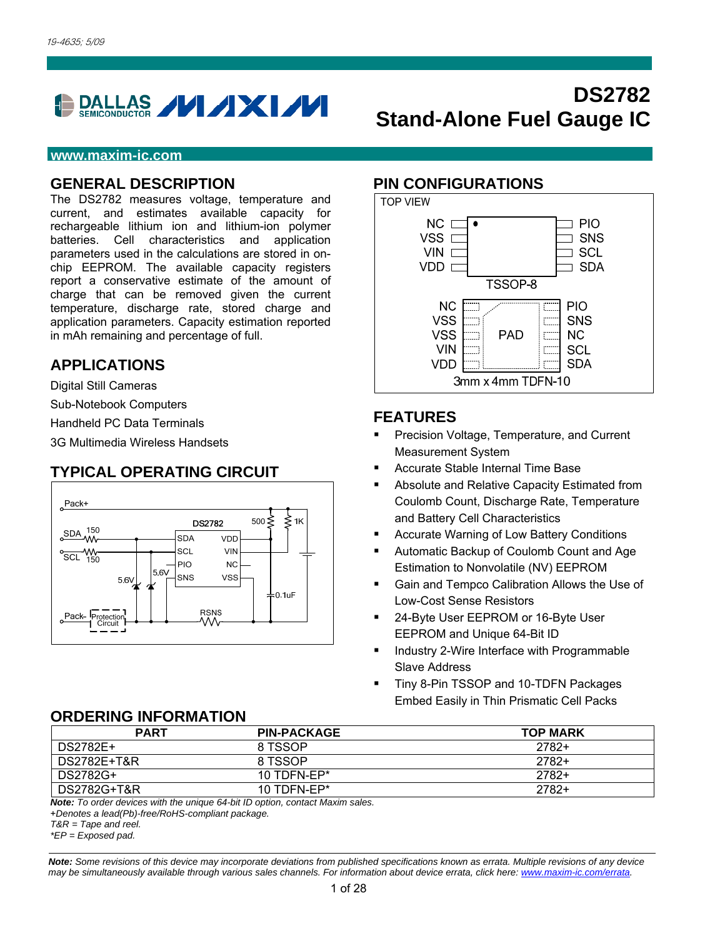

#### **www.maxim-ic.com**

#### **GENERAL DESCRIPTION**

The DS2782 measures voltage, temperature and current, and estimates available capacity for rechargeable lithium ion and lithium-ion polymer batteries. Cell characteristics and application parameters used in the calculations are stored in onchip EEPROM. The available capacity registers report a conservative estimate of the amount of charge that can be removed given the current temperature, discharge rate, stored charge and application parameters. Capacity estimation reported in mAh remaining and percentage of full.

### **APPLICATIONS**

Digital Still Cameras

Sub-Notebook Computers

Handheld PC Data Terminals

3G Multimedia Wireless Handsets

## **TYPICAL OPERATING CIRCUIT**



#### **PIN CONFIGURATIONS**



**Stand-Alone Fuel Gauge IC**

**DS2782** 

### **FEATURES**

- Precision Voltage, Temperature, and Current Measurement System
- Accurate Stable Internal Time Base
- Absolute and Relative Capacity Estimated from Coulomb Count, Discharge Rate, Temperature and Battery Cell Characteristics
- Accurate Warning of Low Battery Conditions
- Automatic Backup of Coulomb Count and Age Estimation to Nonvolatile (NV) EEPROM
- Gain and Tempco Calibration Allows the Use of Low-Cost Sense Resistors
- 24-Byte User EEPROM or 16-Byte User EEPROM and Unique 64-Bit ID
- **Industry 2-Wire Interface with Programmable** Slave Address
- Tiny 8-Pin TSSOP and 10-TDFN Packages Embed Easily in Thin Prismatic Cell Packs

### **ORDERING INFORMATION**

| <b>PART</b> | <b>PIN-PACKAGE</b> | <b>TOP MARK</b> |
|-------------|--------------------|-----------------|
| DS2782E+    | 8 TSSOP            | 2782+           |
| DS2782E+T&R | 8 TSSOP            | $2782+$         |
| DS2782G+    | 10 TDFN-FP $*$     | 2782+           |
| DS2782G+T&R | 10 TDFN-EP $*$     | $2782+$         |

*Note: To order devices with the unique 64-bit ID option, contact Maxim sales.*

+*Denotes a lead(Pb)-free/RoHS-compliant package.* 

*T&R = Tape and reel.* 

*\*EP = Exposed pad.*

*Note: Some revisions of this device may incorporate deviations from published specifications known as errata. Multiple revisions of any device may be simultaneously available through various sales channels. For information about device errata, click here: www.maxim-ic.com/errata.*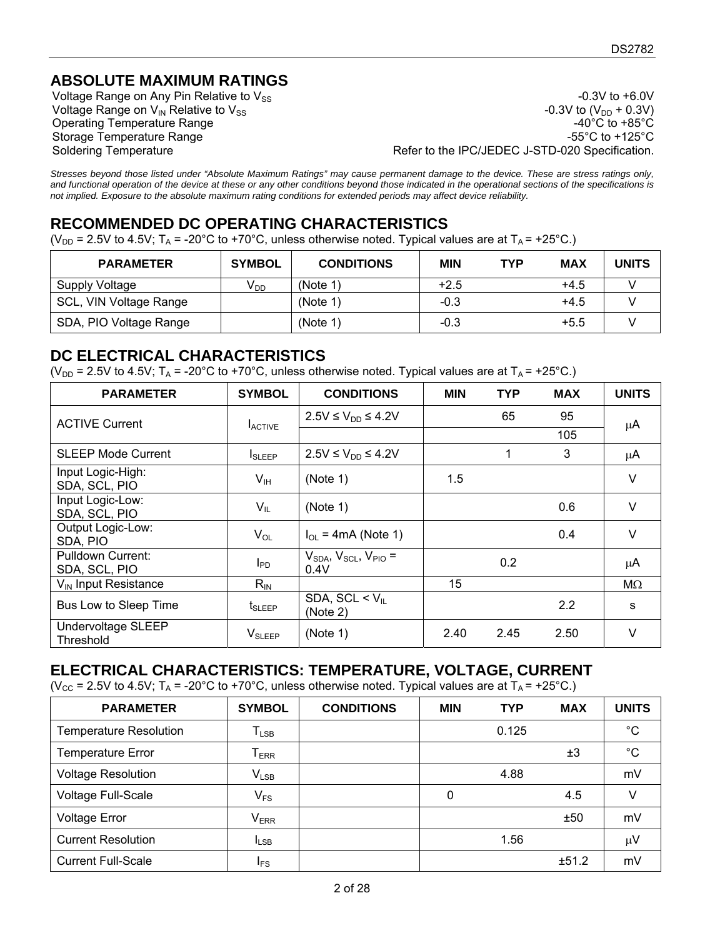## **ABSOLUTE MAXIMUM RATINGS**

Operating Temperature Range

Voltage Range on Any Pin Relative to  $V_{SS}$ <br>Voltage Range on  $V_{IN}$  Relative to  $V_{SS}$ <br>Voltage Range on  $V_{IN}$  Relative to  $V_{SS}$ Voltage Range on  $V_{IN}$  Relative to  $V_{SS}$ <br>Operating Temperature Range  $-40^{\circ}$ C to  $+85^{\circ}$ C Storage Temperature Range  $-55^{\circ}$ C to +125°C Soldering Temperature **Refer to the IPC/JEDEC J-STD-020 Specification**.

*Stresses beyond those listed under "Absolute Maximum Ratings" may cause permanent damage to the device. These are stress ratings only, and functional operation of the device at these or any other conditions beyond those indicated in the operational sections of the specifications is not implied. Exposure to the absolute maximum rating conditions for extended periods may affect device reliability.* 

## **RECOMMENDED DC OPERATING CHARACTERISTICS**

(V<sub>DD</sub> = 2.5V to 4.5V; T<sub>A</sub> = -20°C to +70°C, unless otherwise noted. Typical values are at T<sub>A</sub> = +25°C.)

| <b>PARAMETER</b>       | <b>SYMBOL</b>   | <b>CONDITIONS</b> | <b>MIN</b> | <b>TYP</b> | <b>MAX</b> | <b>UNITS</b> |
|------------------------|-----------------|-------------------|------------|------------|------------|--------------|
| Supply Voltage         | V <sub>DD</sub> | (Note 1)          | $+2.5$     |            | $+4.5$     |              |
| SCL, VIN Voltage Range |                 | (Note 1)          | $-0.3$     |            | $+4.5$     |              |
| SDA, PIO Voltage Range |                 | (Note 1)          | -0.3       |            | $+5.5$     |              |

### **DC ELECTRICAL CHARACTERISTICS**

( $V_{DD}$  = 2.5V to 4.5V; T<sub>A</sub> = -20°C to +70°C, unless otherwise noted. Typical values are at T<sub>A</sub> = +25°C.)

| <b>PARAMETER</b>                   | <b>SYMBOL</b>             | <b>CONDITIONS</b>                           | <b>MIN</b> | <b>TYP</b> | <b>MAX</b> | <b>UNITS</b> |
|------------------------------------|---------------------------|---------------------------------------------|------------|------------|------------|--------------|
| <b>ACTIVE Current</b>              | <b>LACTIVE</b>            | $2.5V ≤ V_{DD} ≤ 4.2V$                      |            | 65         | 95         | μA           |
|                                    |                           |                                             |            |            | 105        |              |
| <b>SLEEP Mode Current</b>          | <b>I</b> SLEEP            | $2.5V ≤ V_{DD} ≤ 4.2V$                      |            | 1          | 3          | μA           |
| Input Logic-High:<br>SDA, SCL, PIO | $V_{\text{IH}}$           | (Note 1)                                    | 1.5        |            |            | V            |
| Input Logic-Low:<br>SDA, SCL, PIO  | $V_{IL}$                  | (Note 1)                                    |            |            | 0.6        | V            |
| Output Logic-Low:<br>SDA, PIO      | $V_{OL}$                  | $I_{OL}$ = 4mA (Note 1)                     |            |            | 0.4        | V            |
| Pulldown Current:<br>SDA, SCL, PIO | I <sub>PD</sub>           | $V_{SDA}$ , $V_{SCL}$ , $V_{PIO}$ =<br>0.4V |            | 0.2        |            | μA           |
| V <sub>IN</sub> Input Resistance   | $R_{\text{IN}}$           |                                             | 15         |            |            | MΩ           |
| Bus Low to Sleep Time              | <b>t</b> <sub>SLEEP</sub> | SDA, SCL < $V_{II}$<br>(Note 2)             |            |            | 2.2        | s            |
| Undervoltage SLEEP<br>Threshold    | $V_{SLEEP}$               | (Note 1)                                    | 2.40       | 2.45       | 2.50       | V            |

## **ELECTRICAL CHARACTERISTICS: TEMPERATURE, VOLTAGE, CURRENT**

(V<sub>CC</sub> = 2.5V to 4.5V; T<sub>A</sub> = -20°C to +70°C, unless otherwise noted. Typical values are at T<sub>A</sub> = +25°C.)

| <b>PARAMETER</b>              | <b>SYMBOL</b>                | <b>CONDITIONS</b> | <b>MIN</b> | <b>TYP</b> | <b>MAX</b> | <b>UNITS</b> |
|-------------------------------|------------------------------|-------------------|------------|------------|------------|--------------|
| <b>Temperature Resolution</b> | $\mathsf{T}_{\textsf{LSB}}$  |                   |            | 0.125      |            | $^{\circ}C$  |
| Temperature Error             | ${\mathsf T}_{\textsf{ERR}}$ |                   |            |            | ±3         | $^{\circ}C$  |
| <b>Voltage Resolution</b>     | $V_{LSB}$                    |                   |            | 4.88       |            | mV           |
| Voltage Full-Scale            | $V_{FS}$                     |                   | 0          |            | 4.5        | V            |
| <b>Voltage Error</b>          | <b>V<sub>ERR</sub></b>       |                   |            |            | ±50        | mV           |
| <b>Current Resolution</b>     | $I_{LSB}$                    |                   |            | 1.56       |            | μV           |
| <b>Current Full-Scale</b>     | $I_{FS}$                     |                   |            |            | ±51.2      | mV           |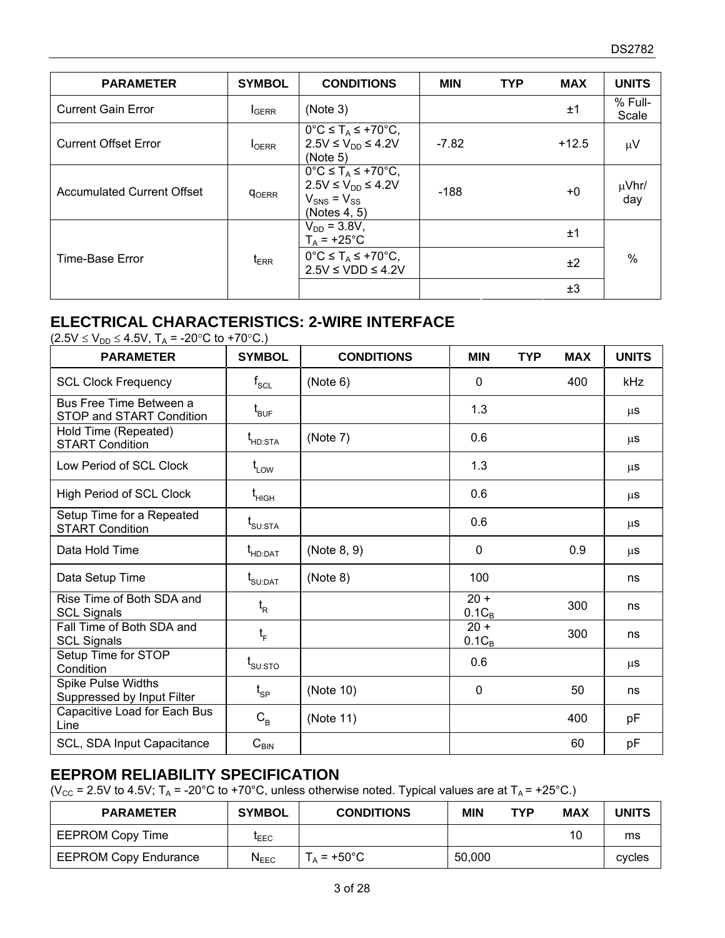| <b>PARAMETER</b>                  | <b>SYMBOL</b>            | <b>CONDITIONS</b>                                                                                                             | <b>MIN</b> | <b>TYP</b> | <b>MAX</b> | <b>UNITS</b>      |
|-----------------------------------|--------------------------|-------------------------------------------------------------------------------------------------------------------------------|------------|------------|------------|-------------------|
| <b>Current Gain Error</b>         | <b>I</b> GERR            | (Note 3)                                                                                                                      |            |            | ±1         | % Full-<br>Scale  |
| <b>Current Offset Error</b>       | <b>I</b> OERR            | $0^{\circ}C \leq T_A \leq +70^{\circ}C$ ,<br>$2.5V ≤ V_{DD} ≤ 4.2V$<br>(Note 5)                                               | $-7.82$    |            | $+12.5$    | $\mu$ V           |
| <b>Accumulated Current Offset</b> | <b>QOERR</b>             | $0^{\circ}C \leq T_A \leq +70^{\circ}C$ ,<br>$2.5V \leq V_{DD} \leq 4.2V$<br>$V_{\text{SNS}} = V_{\text{SS}}$<br>(Notes 4, 5) | $-188$     |            | $+0$       | $\mu$ Vhr/<br>day |
|                                   |                          | $V_{DD} = 3.8V,$<br>$T_A$ = +25°C                                                                                             |            |            | ±1         |                   |
| Time-Base Error                   | $t_{\tiny \textsf{ERR}}$ | $0^{\circ}C \leq T_A \leq +70^{\circ}C$ ,<br>$2.5V \leq VDD \leq 4.2V$                                                        |            |            | ±2         | $\%$              |
|                                   |                          |                                                                                                                               |            |            | ±3         |                   |

## **ELECTRICAL CHARACTERISTICS: 2-WIRE INTERFACE**

| $(2.5V \le V_{DD} \le 4.5V, T_A = -20°C$ to +70°C.) |
|-----------------------------------------------------|
|                                                     |

| <b>PARAMETER</b>                                        | <b>SYMBOL</b>                                                      | <b>CONDITIONS</b> | <b>MIN</b>         | <b>TYP</b> | <b>MAX</b> | <b>UNITS</b> |
|---------------------------------------------------------|--------------------------------------------------------------------|-------------------|--------------------|------------|------------|--------------|
| <b>SCL Clock Frequency</b>                              | $\mathsf{f}_{\mathsf{SCL}}$                                        | (Note 6)          | $\Omega$           |            | 400        | <b>kHz</b>   |
| Bus Free Time Between a<br>STOP and START Condition     | $\mathfrak{t}_{\texttt{BUF}}$                                      |                   | 1.3                |            |            | $\mu$ s      |
| Hold Time (Repeated)<br><b>START Condition</b>          | $\mathsf{t}_{\texttt{HD:STA}}$                                     | (Note 7)          | 0.6                |            |            | μS           |
| Low Period of SCL Clock                                 | $t_{LOW}$                                                          |                   | 1.3                |            |            | μS           |
| High Period of SCL Clock                                | $\mathfrak{t}_{\scriptscriptstyle\mathsf{HIGH}}$                   |                   | 0.6                |            |            | μS           |
| Setup Time for a Repeated<br><b>START Condition</b>     | $\textnormal{t}_{\textnormal{\scriptsize SU:STA}}$                 |                   | 0.6                |            |            | μS           |
| Data Hold Time                                          | $t_{HD:DAT}$                                                       | (Note 8, 9)       | 0                  |            | 0.9        | μS           |
| Data Setup Time                                         | $\mathsf{t}_{\scriptscriptstyle\mathsf{S}\mathsf{U}:\mathsf{DAT}}$ | (Note 8)          | 100                |            |            | ns           |
| Rise Time of Both SDA and<br><b>SCL Signals</b>         | $t_{\rm R}$                                                        |                   | $20 +$<br>$0.1C_B$ |            | 300        | ns           |
| Fall Time of Both SDA and<br><b>SCL Signals</b>         | $t_{\rm F}$                                                        |                   | $20 +$<br>$0.1C_B$ |            | 300        | ns           |
| Setup Time for STOP<br>Condition                        | $\rm t_{\scriptscriptstyle SU:STO}$                                |                   | 0.6                |            |            | μS           |
| <b>Spike Pulse Widths</b><br>Suppressed by Input Filter | $\mathfrak{t}_{\text{SP}}$                                         | (Note 10)         | $\mathbf 0$        |            | 50         | ns           |
| Capacitive Load for Each Bus<br>Line                    | $C_B$                                                              | (Note 11)         |                    |            | 400        | pF           |
| SCL, SDA Input Capacitance                              | $C_{\text{BIN}}$                                                   |                   |                    |            | 60         | pF           |

## **EEPROM RELIABILITY SPECIFICATION**

(V<sub>CC</sub> = 2.5V to 4.5V; T<sub>A</sub> = -20°C to +70°C, unless otherwise noted. Typical values are at T<sub>A</sub> = +25°C.)

| <b>PARAMETER</b>             | <b>SYMBOL</b>               | <b>CONDITIONS</b> | <b>MIN</b> | TYP | MAX | <b>UNITS</b> |
|------------------------------|-----------------------------|-------------------|------------|-----|-----|--------------|
| <b>EEPROM Copy Time</b>      | <b>LEEC</b>                 |                   |            |     | 10  | ms           |
| <b>EEPROM Copy Endurance</b> | $\mathsf{N}_{\mathsf{EEC}}$ | $T_A$ = +50°C     | 50,000     |     |     | cycles       |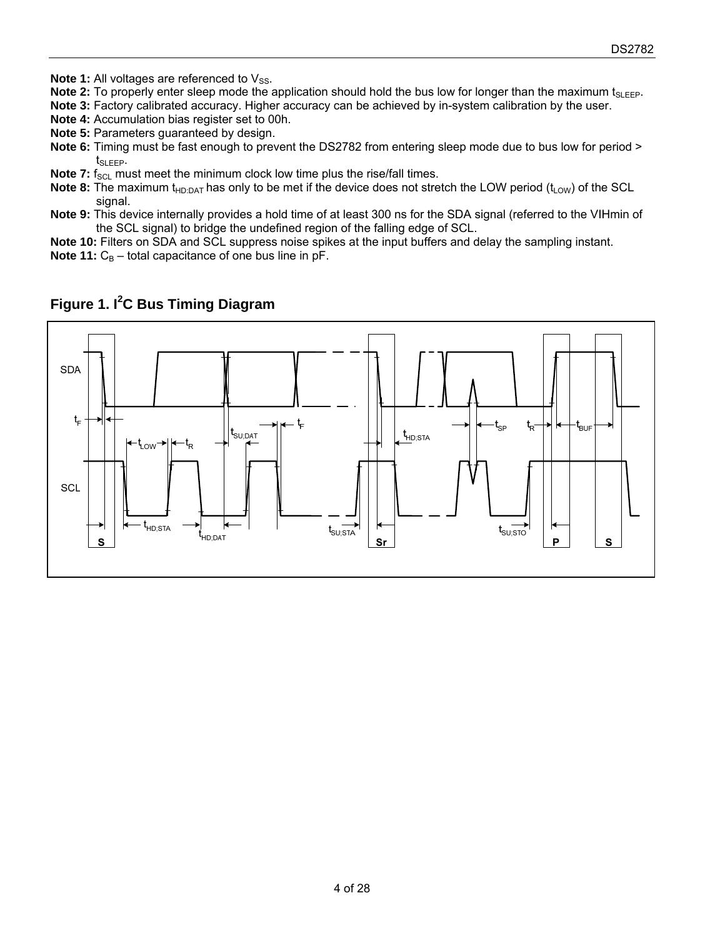- **Note 1:** All voltages are referenced to V<sub>SS</sub>.
- **Note 2:** To properly enter sleep mode the application should hold the bus low for longer than the maximum t<sub>SLEEP</sub>.
- **Note 3:** Factory calibrated accuracy. Higher accuracy can be achieved by in-system calibration by the user.
- **Note 4:** Accumulation bias register set to 00h.
- **Note 5:** Parameters guaranteed by design.
- **Note 6:** Timing must be fast enough to prevent the DS2782 from entering sleep mode due to bus low for period > t<sub>SLEEP</sub>.
- **Note 7:** f<sub>SCL</sub> must meet the minimum clock low time plus the rise/fall times.
- **Note 8:** The maximum t<sub>HD:DAT</sub> has only to be met if the device does not stretch the LOW period (t<sub>LOW</sub>) of the SCL signal.
- **Note 9:** This device internally provides a hold time of at least 300 ns for the SDA signal (referred to the VIHmin of the SCL signal) to bridge the undefined region of the falling edge of SCL.
- **Note 10:** Filters on SDA and SCL suppress noise spikes at the input buffers and delay the sampling instant.
- **Note 11:**  $C_B$  total capacitance of one bus line in pF.



## **Figure 1. I<sup>2</sup> C Bus Timing Diagram**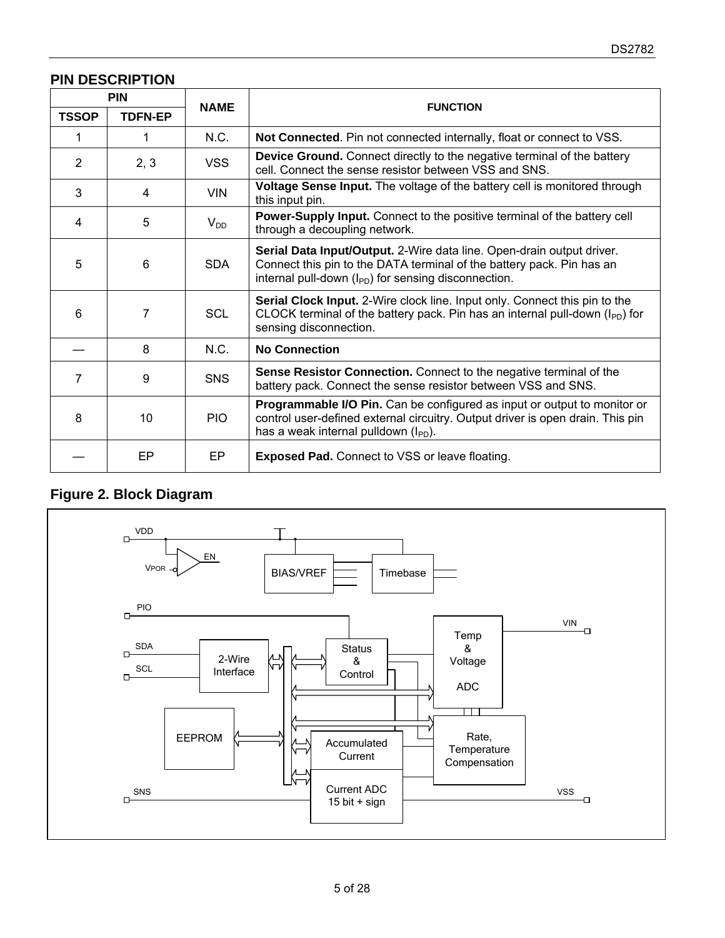## **PIN DESCRIPTION**

|                | <b>PIN</b>     |             |                                                                                                                                                                                                            |
|----------------|----------------|-------------|------------------------------------------------------------------------------------------------------------------------------------------------------------------------------------------------------------|
| <b>TSSOP</b>   | <b>TDFN-EP</b> | <b>NAME</b> | <b>FUNCTION</b>                                                                                                                                                                                            |
| 1              |                | N.C.        | Not Connected. Pin not connected internally, float or connect to VSS.                                                                                                                                      |
| 2              | 2, 3           | <b>VSS</b>  | Device Ground. Connect directly to the negative terminal of the battery<br>cell. Connect the sense resistor between VSS and SNS.                                                                           |
| 3              | 4              | <b>VIN</b>  | Voltage Sense Input. The voltage of the battery cell is monitored through<br>this input pin.                                                                                                               |
| $\overline{4}$ | 5              | $V_{DD}$    | <b>Power-Supply Input.</b> Connect to the positive terminal of the battery cell<br>through a decoupling network.                                                                                           |
| 5              | 6              | <b>SDA</b>  | Serial Data Input/Output. 2-Wire data line. Open-drain output driver.<br>Connect this pin to the DATA terminal of the battery pack. Pin has an<br>internal pull-down $(I_{PD})$ for sensing disconnection. |
| 6              | 7              | <b>SCL</b>  | Serial Clock Input. 2-Wire clock line. Input only. Connect this pin to the<br>CLOCK terminal of the battery pack. Pin has an internal pull-down (I <sub>PD</sub> ) for<br>sensing disconnection.           |
|                | 8              | N.C.        | <b>No Connection</b>                                                                                                                                                                                       |
| 7              | 9              | <b>SNS</b>  | Sense Resistor Connection. Connect to the negative terminal of the<br>battery pack. Connect the sense resistor between VSS and SNS.                                                                        |
| 8              | 10             | <b>PIO</b>  | Programmable I/O Pin. Can be configured as input or output to monitor or<br>control user-defined external circuitry. Output driver is open drain. This pin<br>has a weak internal pulldown $(I_{PD})$ .    |
|                | EP             | EP          | <b>Exposed Pad.</b> Connect to VSS or leave floating.                                                                                                                                                      |

# **Figure 2. Block Diagram**

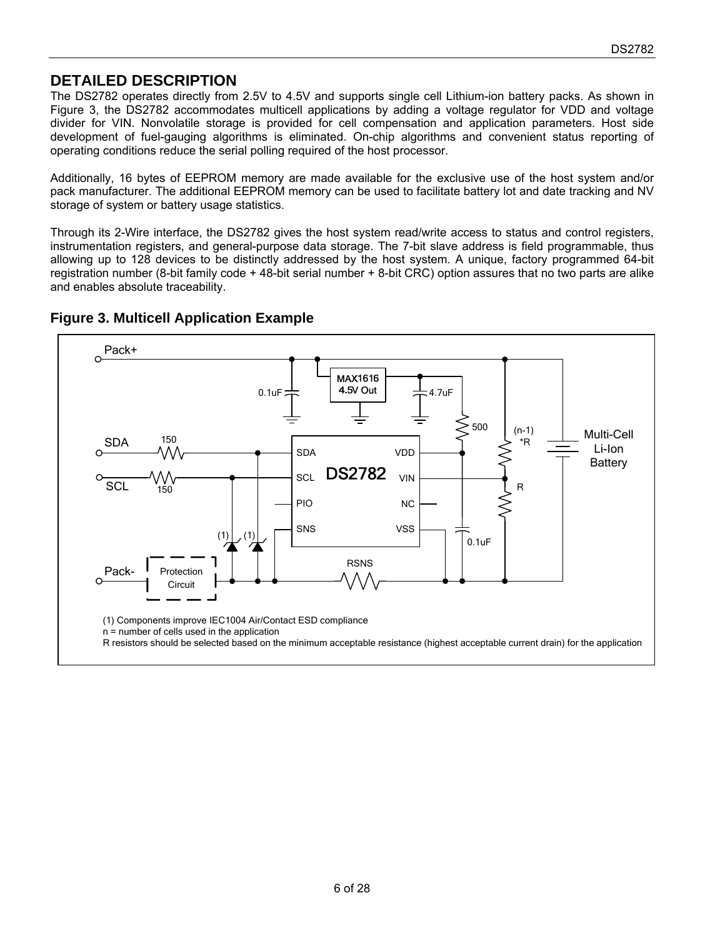## **DETAILED DESCRIPTION**

The DS2782 operates directly from 2.5V to 4.5V and supports single cell Lithium-ion battery packs. As shown in Figure 3, the DS2782 accommodates multicell applications by adding a voltage regulator for VDD and voltage divider for VIN. Nonvolatile storage is provided for cell compensation and application parameters. Host side development of fuel-gauging algorithms is eliminated. On-chip algorithms and convenient status reporting of operating conditions reduce the serial polling required of the host processor.

Additionally, 16 bytes of EEPROM memory are made available for the exclusive use of the host system and/or pack manufacturer. The additional EEPROM memory can be used to facilitate battery lot and date tracking and NV storage of system or battery usage statistics.

Through its 2-Wire interface, the DS2782 gives the host system read/write access to status and control registers, instrumentation registers, and general-purpose data storage. The 7-bit slave address is field programmable, thus allowing up to 128 devices to be distinctly addressed by the host system. A unique, factory programmed 64-bit registration number (8-bit family code + 48-bit serial number + 8-bit CRC) option assures that no two parts are alike and enables absolute traceability.



#### **Figure 3. Multicell Application Example**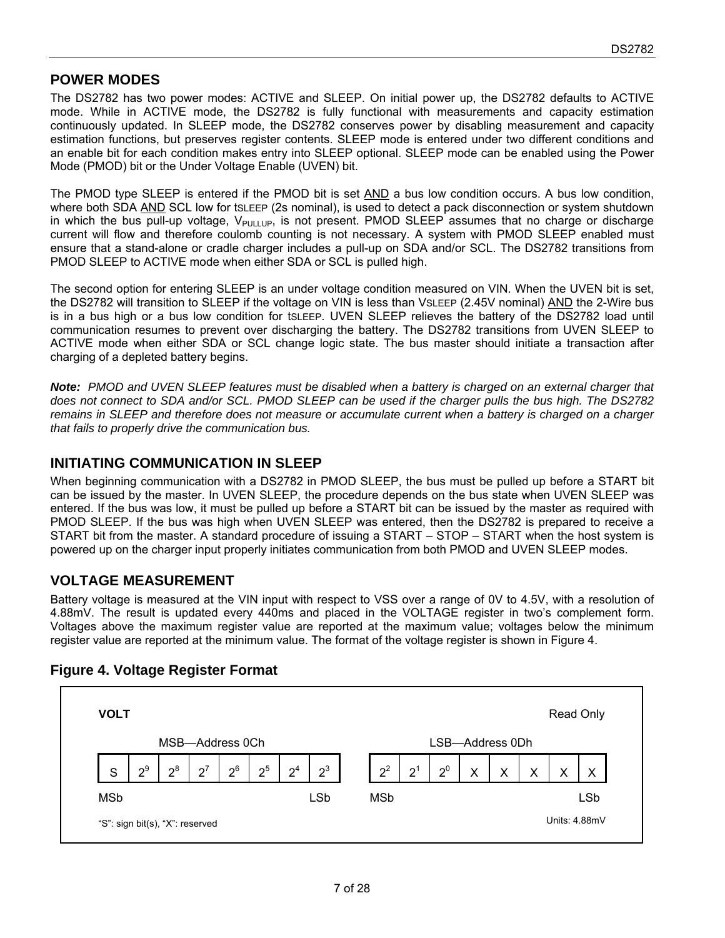## **POWER MODES**

The DS2782 has two power modes: ACTIVE and SLEEP. On initial power up, the DS2782 defaults to ACTIVE mode. While in ACTIVE mode, the DS2782 is fully functional with measurements and capacity estimation continuously updated. In SLEEP mode, the DS2782 conserves power by disabling measurement and capacity estimation functions, but preserves register contents. SLEEP mode is entered under two different conditions and an enable bit for each condition makes entry into SLEEP optional. SLEEP mode can be enabled using the Power Mode (PMOD) bit or the Under Voltage Enable (UVEN) bit.

The PMOD type SLEEP is entered if the PMOD bit is set AND a bus low condition occurs. A bus low condition, where both SDA AND SCL low for tsLEEP (2s nominal), is used to detect a pack disconnection or system shutdown in which the bus pull-up voltage,  $V_{\text{PULLUP}}$ , is not present. PMOD SLEEP assumes that no charge or discharge current will flow and therefore coulomb counting is not necessary. A system with PMOD SLEEP enabled must ensure that a stand-alone or cradle charger includes a pull-up on SDA and/or SCL. The DS2782 transitions from PMOD SLEEP to ACTIVE mode when either SDA or SCL is pulled high.

The second option for entering SLEEP is an under voltage condition measured on VIN. When the UVEN bit is set, the DS2782 will transition to SLEEP if the voltage on VIN is less than VSLEEP (2.45V nominal) AND the 2-Wire bus is in a bus high or a bus low condition for tSLEEP. UVEN SLEEP relieves the battery of the DS2782 load until communication resumes to prevent over discharging the battery. The DS2782 transitions from UVEN SLEEP to ACTIVE mode when either SDA or SCL change logic state. The bus master should initiate a transaction after charging of a depleted battery begins.

*Note: PMOD and UVEN SLEEP features must be disabled when a battery is charged on an external charger that does not connect to SDA and/or SCL. PMOD SLEEP can be used if the charger pulls the bus high. The DS2782 remains in SLEEP and therefore does not measure or accumulate current when a battery is charged on a charger that fails to properly drive the communication bus.* 

### **INITIATING COMMUNICATION IN SLEEP**

When beginning communication with a DS2782 in PMOD SLEEP, the bus must be pulled up before a START bit can be issued by the master. In UVEN SLEEP, the procedure depends on the bus state when UVEN SLEEP was entered. If the bus was low, it must be pulled up before a START bit can be issued by the master as required with PMOD SLEEP. If the bus was high when UVEN SLEEP was entered, then the DS2782 is prepared to receive a START bit from the master. A standard procedure of issuing a START – STOP – START when the host system is powered up on the charger input properly initiates communication from both PMOD and UVEN SLEEP modes.

## **VOLTAGE MEASUREMENT**

Battery voltage is measured at the VIN input with respect to VSS over a range of 0V to 4.5V, with a resolution of 4.88mV. The result is updated every 440ms and placed in the VOLTAGE register in two's complement form. Voltages above the maximum register value are reported at the maximum value; voltages below the minimum register value are reported at the minimum value. The format of the voltage register is shown in Figure 4.



#### **Figure 4. Voltage Register Format**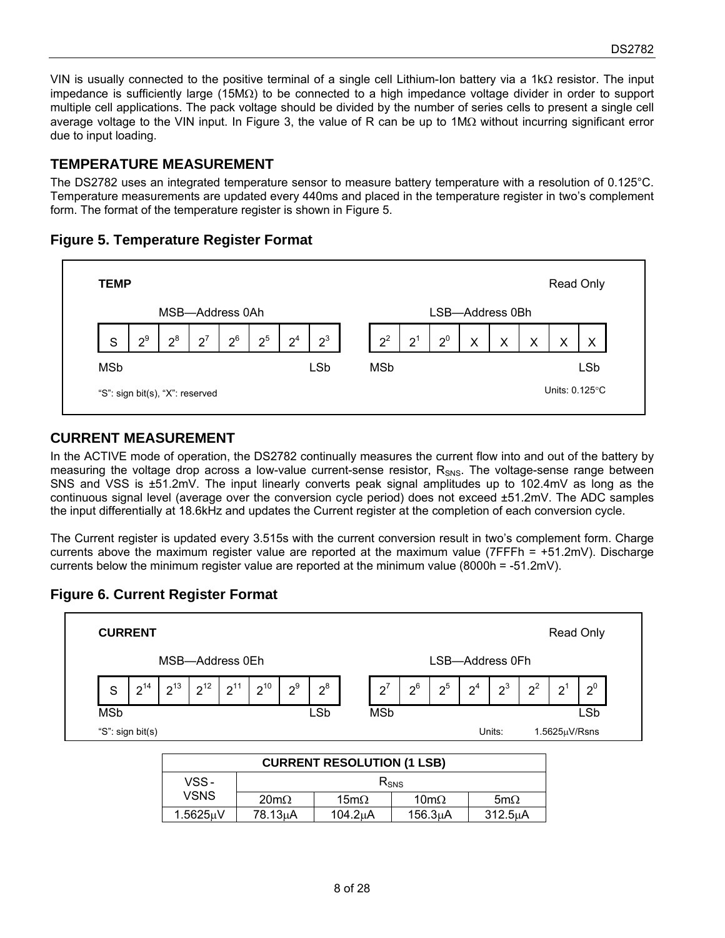VIN is usually connected to the positive terminal of a single cell Lithium-Ion battery via a 1k $\Omega$  resistor. The input impedance is sufficiently large (15M $\Omega$ ) to be connected to a high impedance voltage divider in order to support multiple cell applications. The pack voltage should be divided by the number of series cells to present a single cell average voltage to the VIN input. In Figure 3, the value of R can be up to  $1\text{M}\Omega$  without incurring significant error due to input loading.

### **TEMPERATURE MEASUREMENT**

The DS2782 uses an integrated temperature sensor to measure battery temperature with a resolution of 0.125°C. Temperature measurements are updated every 440ms and placed in the temperature register in two's complement form. The format of the temperature register is shown in Figure 5.

#### **Figure 5. Temperature Register Format**



### **CURRENT MEASUREMENT**

In the ACTIVE mode of operation, the DS2782 continually measures the current flow into and out of the battery by measuring the voltage drop across a low-value current-sense resistor,  $R_{SNS}$ . The voltage-sense range between SNS and VSS is ±51.2mV. The input linearly converts peak signal amplitudes up to 102.4mV as long as the continuous signal level (average over the conversion cycle period) does not exceed ±51.2mV. The ADC samples the input differentially at 18.6kHz and updates the Current register at the completion of each conversion cycle.

The Current register is updated every 3.515s with the current conversion result in two's complement form. Charge currents above the maximum register value are reported at the maximum value (7FFFh = +51.2mV). Discharge currents below the minimum register value are reported at the minimum value (8000h = -51.2mV).

## **Figure 6. Current Register Format**



| CUNNEIN I NESULUTIUN (TESD) |                     |                     |                      |             |  |  |  |
|-----------------------------|---------------------|---------------------|----------------------|-------------|--|--|--|
| VSS -                       | $R_{SNS}$           |                     |                      |             |  |  |  |
| <b>VSNS</b>                 | $20 \text{m}\Omega$ | $15 \text{m}\Omega$ | $10 \text{m}\Omega$  | 5m $\Omega$ |  |  |  |
| 1.5625uV                    | $78.13\mu$ A        | $104.2\mu$ A        | 156.3 <sub>µ</sub> A | 312.5uA     |  |  |  |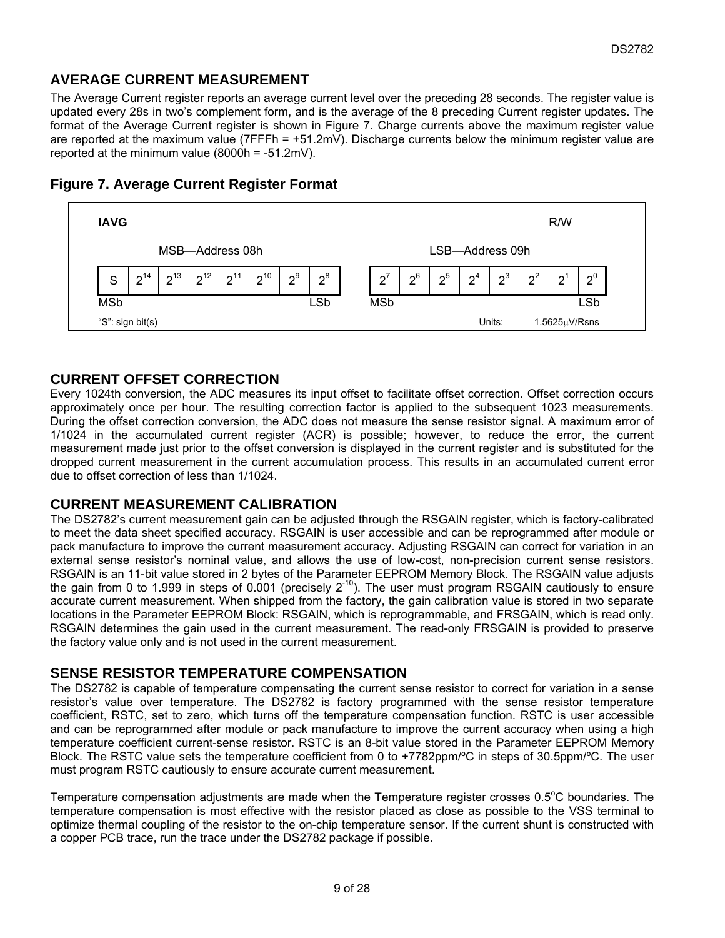## **AVERAGE CURRENT MEASUREMENT**

The Average Current register reports an average current level over the preceding 28 seconds. The register value is updated every 28s in two's complement form, and is the average of the 8 preceding Current register updates. The format of the Average Current register is shown in Figure 7. Charge currents above the maximum register value are reported at the maximum value (7FFFh = +51.2mV). Discharge currents below the minimum register value are reported at the minimum value (8000h = -51.2mV).



### **Figure 7. Average Current Register Format**

### **CURRENT OFFSET CORRECTION**

Every 1024th conversion, the ADC measures its input offset to facilitate offset correction. Offset correction occurs approximately once per hour. The resulting correction factor is applied to the subsequent 1023 measurements. During the offset correction conversion, the ADC does not measure the sense resistor signal. A maximum error of 1/1024 in the accumulated current register (ACR) is possible; however, to reduce the error, the current measurement made just prior to the offset conversion is displayed in the current register and is substituted for the dropped current measurement in the current accumulation process. This results in an accumulated current error due to offset correction of less than 1/1024.

### **CURRENT MEASUREMENT CALIBRATION**

The DS2782's current measurement gain can be adjusted through the RSGAIN register, which is factory-calibrated to meet the data sheet specified accuracy. RSGAIN is user accessible and can be reprogrammed after module or pack manufacture to improve the current measurement accuracy. Adjusting RSGAIN can correct for variation in an external sense resistor's nominal value, and allows the use of low-cost, non-precision current sense resistors. RSGAIN is an 11-bit value stored in 2 bytes of the Parameter EEPROM Memory Block. The RSGAIN value adjusts the gain from 0 to 1.999 in steps of 0.001 (precisely  $2^{-10}$ ). The user must program RSGAIN cautiously to ensure accurate current measurement. When shipped from the factory, the gain calibration value is stored in two separate locations in the Parameter EEPROM Block: RSGAIN, which is reprogrammable, and FRSGAIN, which is read only. RSGAIN determines the gain used in the current measurement. The read-only FRSGAIN is provided to preserve the factory value only and is not used in the current measurement.

### **SENSE RESISTOR TEMPERATURE COMPENSATION**

The DS2782 is capable of temperature compensating the current sense resistor to correct for variation in a sense resistor's value over temperature. The DS2782 is factory programmed with the sense resistor temperature coefficient, RSTC, set to zero, which turns off the temperature compensation function. RSTC is user accessible and can be reprogrammed after module or pack manufacture to improve the current accuracy when using a high temperature coefficient current-sense resistor. RSTC is an 8-bit value stored in the Parameter EEPROM Memory Block. The RSTC value sets the temperature coefficient from 0 to +7782ppm/ºC in steps of 30.5ppm/ºC. The user must program RSTC cautiously to ensure accurate current measurement.

Temperature compensation adjustments are made when the Temperature register crosses  $0.5^{\circ}$ C boundaries. The temperature compensation is most effective with the resistor placed as close as possible to the VSS terminal to optimize thermal coupling of the resistor to the on-chip temperature sensor. If the current shunt is constructed with a copper PCB trace, run the trace under the DS2782 package if possible.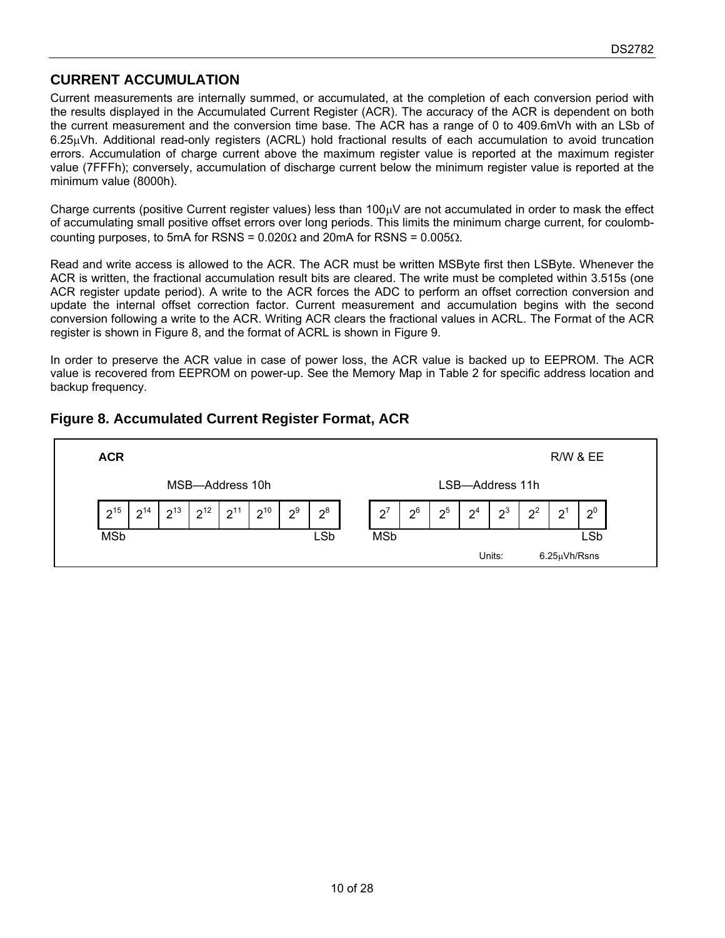## **CURRENT ACCUMULATION**

Current measurements are internally summed, or accumulated, at the completion of each conversion period with the results displayed in the Accumulated Current Register (ACR). The accuracy of the ACR is dependent on both the current measurement and the conversion time base. The ACR has a range of 0 to 409.6mVh with an LSb of  $6.25<sub>u</sub>Vh$ . Additional read-only registers (ACRL) hold fractional results of each accumulation to avoid truncation errors. Accumulation of charge current above the maximum register value is reported at the maximum register value (7FFFh); conversely, accumulation of discharge current below the minimum register value is reported at the minimum value (8000h).

Charge currents (positive Current register values) less than  $100<sub>\mu</sub>V$  are not accumulated in order to mask the effect of accumulating small positive offset errors over long periods. This limits the minimum charge current, for coulombcounting purposes, to 5mA for RSNS =  $0.020\Omega$  and 20mA for RSNS =  $0.005\Omega$ .

Read and write access is allowed to the ACR. The ACR must be written MSByte first then LSByte. Whenever the ACR is written, the fractional accumulation result bits are cleared. The write must be completed within 3.515s (one ACR register update period). A write to the ACR forces the ADC to perform an offset correction conversion and update the internal offset correction factor. Current measurement and accumulation begins with the second conversion following a write to the ACR. Writing ACR clears the fractional values in ACRL. The Format of the ACR register is shown in Figure 8, and the format of ACRL is shown in Figure 9.

In order to preserve the ACR value in case of power loss, the ACR value is backed up to EEPROM. The ACR value is recovered from EEPROM on power-up. See the Memory Map in Table 2 for specific address location and backup frequency.

## **Figure 8. Accumulated Current Register Format, ACR**

| <b>ACR</b>                                               |                                    |                       |                          |        |       | <b>R/W &amp; EE</b> |       |
|----------------------------------------------------------|------------------------------------|-----------------------|--------------------------|--------|-------|---------------------|-------|
|                                                          | MSB-Address 10h<br>LSB-Address 11h |                       |                          |        |       |                     |       |
| $2^{15}$<br>$2^{12}$<br>$2^{11}$<br>$2^{13}$<br>$2^{14}$ | $2^{10}$<br>$2^9$<br>$2^8$         | $2^6$<br>$\mathbf{C}$ | $2^5$<br>$\mathcal{D}^4$ | $2^3$  | $2^2$ | റി                  | $2^0$ |
| <b>MSb</b>                                               | LSb                                | <b>MSb</b>            |                          |        |       |                     | LSb   |
|                                                          |                                    |                       |                          | Units: |       | 6.25µVh/Rsns        |       |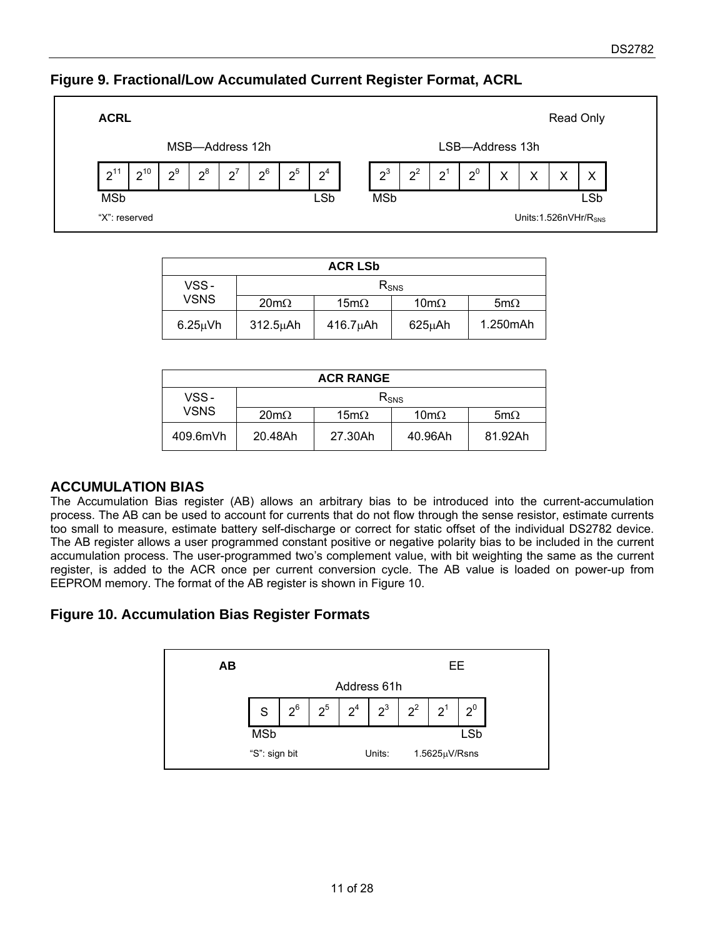## **Figure 9. Fractional/Low Accumulated Current Register Format, ACRL**



| <b>ACR LSb</b> |               |                     |                     |             |  |  |
|----------------|---------------|---------------------|---------------------|-------------|--|--|
| VSS-           |               | $R_{SNS}$           |                     |             |  |  |
| <b>VSNS</b>    | $20m\Omega$   | $15 \text{m}\Omega$ | $10 \text{m}\Omega$ | 5m $\Omega$ |  |  |
| $6.25\mu$ Vh   | $312.5\mu$ Ah | $416.7\mu$ Ah       | $625\mu$ Ah         | 1.250mAh    |  |  |

| <b>ACR RANGE</b> |                     |                     |                     |             |  |
|------------------|---------------------|---------------------|---------------------|-------------|--|
| VSS-             | $R_{SNS}$           |                     |                     |             |  |
| <b>VSNS</b>      | $20 \text{m}\Omega$ | $15 \text{m}\Omega$ | $10 \text{m}\Omega$ | 5m $\Omega$ |  |
| 409.6mVh         | 20.48Ah             | 27.30Ah             | 40.96Ah             | 81.92Ah     |  |

## **ACCUMULATION BIAS**

The Accumulation Bias register (AB) allows an arbitrary bias to be introduced into the current-accumulation process. The AB can be used to account for currents that do not flow through the sense resistor, estimate currents too small to measure, estimate battery self-discharge or correct for static offset of the individual DS2782 device. The AB register allows a user programmed constant positive or negative polarity bias to be included in the current accumulation process. The user-programmed two's complement value, with bit weighting the same as the current register, is added to the ACR once per current conversion cycle. The AB value is loaded on power-up from EEPROM memory. The format of the AB register is shown in Figure 10.

## **Figure 10. Accumulation Bias Register Formats**

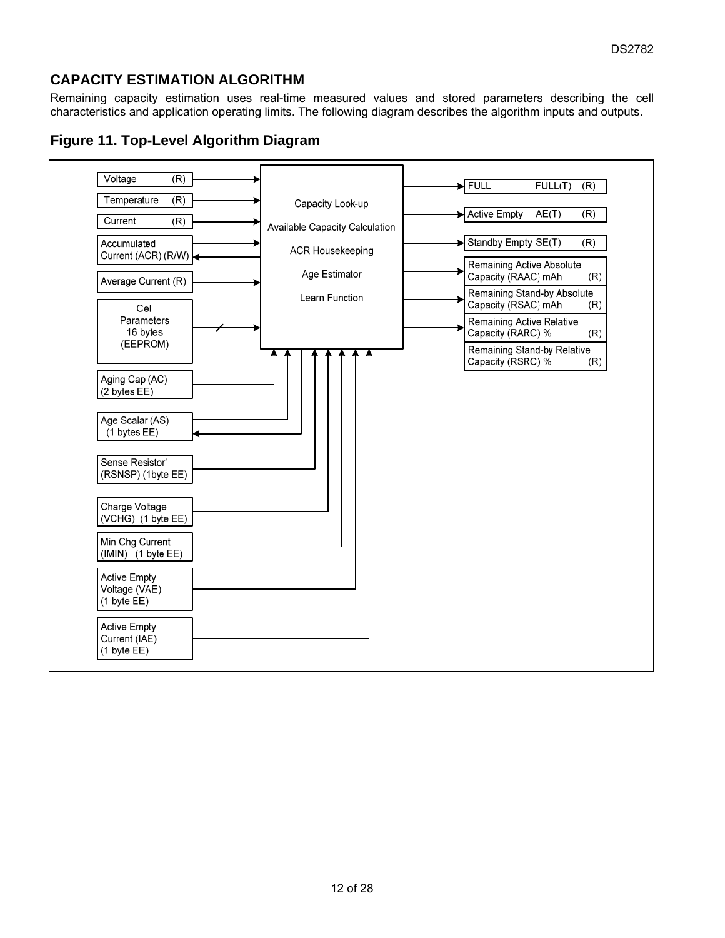## **CAPACITY ESTIMATION ALGORITHM**

Remaining capacity estimation uses real-time measured values and stored parameters describing the cell characteristics and application operating limits. The following diagram describes the algorithm inputs and outputs.



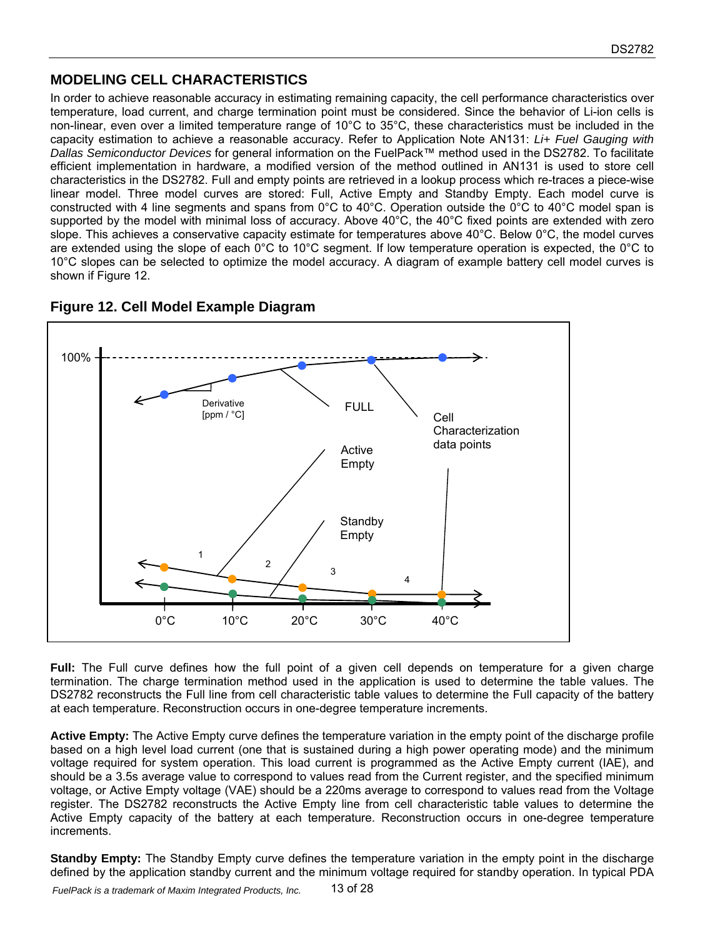## **MODELING CELL CHARACTERISTICS**

In order to achieve reasonable accuracy in estimating remaining capacity, the cell performance characteristics over temperature, load current, and charge termination point must be considered. Since the behavior of Li-ion cells is non-linear, even over a limited temperature range of 10°C to 35°C, these characteristics must be included in the capacity estimation to achieve a reasonable accuracy. Refer to Application Note AN131: *Li+ Fuel Gauging with Dallas Semiconductor Devices* for general information on the FuelPack™ method used in the DS2782. To facilitate efficient implementation in hardware, a modified version of the method outlined in AN131 is used to store cell characteristics in the DS2782. Full and empty points are retrieved in a lookup process which re-traces a piece-wise linear model. Three model curves are stored: Full, Active Empty and Standby Empty. Each model curve is constructed with 4 line segments and spans from 0°C to 40°C. Operation outside the 0°C to 40°C model span is supported by the model with minimal loss of accuracy. Above 40°C, the 40°C fixed points are extended with zero slope. This achieves a conservative capacity estimate for temperatures above 40°C. Below 0°C, the model curves are extended using the slope of each 0°C to 10°C segment. If low temperature operation is expected, the 0°C to 10°C slopes can be selected to optimize the model accuracy. A diagram of example battery cell model curves is shown if Figure 12.



## **Figure 12. Cell Model Example Diagram**

**Full:** The Full curve defines how the full point of a given cell depends on temperature for a given charge termination. The charge termination method used in the application is used to determine the table values. The DS2782 reconstructs the Full line from cell characteristic table values to determine the Full capacity of the battery at each temperature. Reconstruction occurs in one-degree temperature increments.

**Active Empty:** The Active Empty curve defines the temperature variation in the empty point of the discharge profile based on a high level load current (one that is sustained during a high power operating mode) and the minimum voltage required for system operation. This load current is programmed as the Active Empty current (IAE), and should be a 3.5s average value to correspond to values read from the Current register, and the specified minimum voltage, or Active Empty voltage (VAE) should be a 220ms average to correspond to values read from the Voltage register. The DS2782 reconstructs the Active Empty line from cell characteristic table values to determine the Active Empty capacity of the battery at each temperature. Reconstruction occurs in one-degree temperature increments.

**Standby Empty:** The Standby Empty curve defines the temperature variation in the empty point in the discharge defined by the application standby current and the minimum voltage required for standby operation. In typical PDA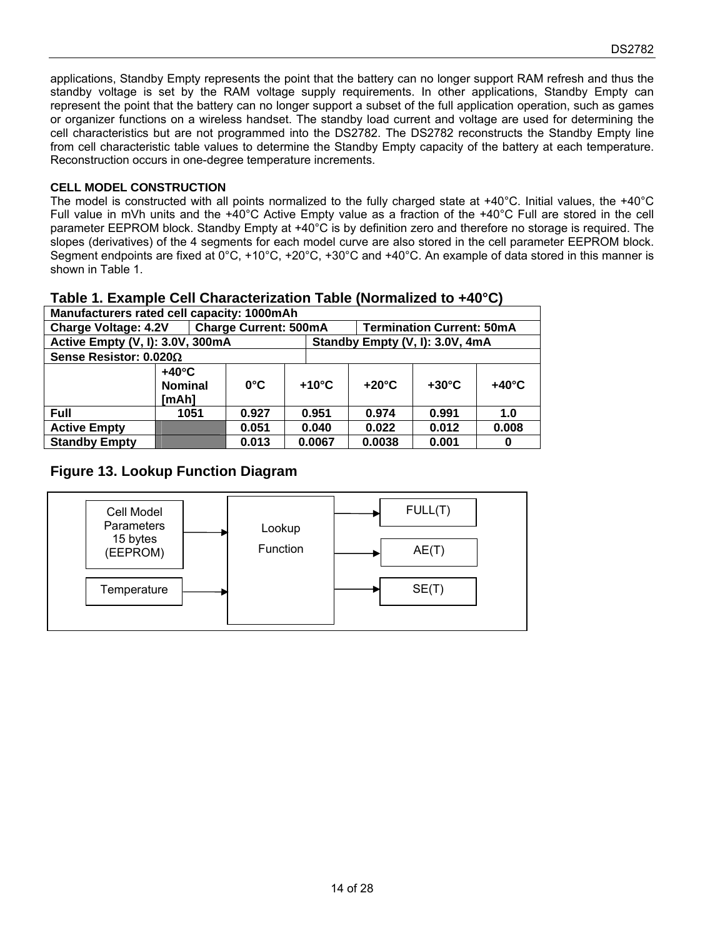applications, Standby Empty represents the point that the battery can no longer support RAM refresh and thus the standby voltage is set by the RAM voltage supply requirements. In other applications, Standby Empty can represent the point that the battery can no longer support a subset of the full application operation, such as games or organizer functions on a wireless handset. The standby load current and voltage are used for determining the cell characteristics but are not programmed into the DS2782. The DS2782 reconstructs the Standby Empty line from cell characteristic table values to determine the Standby Empty capacity of the battery at each temperature. Reconstruction occurs in one-degree temperature increments.

#### **CELL MODEL CONSTRUCTION**

The model is constructed with all points normalized to the fully charged state at +40°C. Initial values, the +40°C Full value in mVh units and the +40°C Active Empty value as a fraction of the +40°C Full are stored in the cell parameter EEPROM block. Standby Empty at +40°C is by definition zero and therefore no storage is required. The slopes (derivatives) of the 4 segments for each model curve are also stored in the cell parameter EEPROM block. Segment endpoints are fixed at 0°C, +10°C, +20°C, +30°C and +40°C. An example of data stored in this manner is shown in Table 1.

#### **Table 1. Example Cell Characterization Table (Normalized to +40°C)**

| Manufacturers rated cell capacity: 1000mAh |                                            |                              |                                 |                 |                 |                                  |                 |
|--------------------------------------------|--------------------------------------------|------------------------------|---------------------------------|-----------------|-----------------|----------------------------------|-----------------|
| <b>Charge Voltage: 4.2V</b>                |                                            | <b>Charge Current: 500mA</b> |                                 |                 |                 | <b>Termination Current: 50mA</b> |                 |
| Active Empty (V, I): 3.0V, 300mA           |                                            |                              | Standby Empty (V, I): 3.0V, 4mA |                 |                 |                                  |                 |
| Sense Resistor: $0.020\Omega$              |                                            |                              |                                 |                 |                 |                                  |                 |
|                                            | $+40^{\circ}$ C<br><b>Nominal</b><br>[mAh] | $0^{\circ}$ C                |                                 | $+10^{\circ}$ C | $+20^{\circ}$ C | $+30^{\circ}$ C                  | $+40^{\circ}$ C |
| <b>Full</b>                                | 1051                                       | 0.927                        |                                 | 0.951           | 0.974           | 0.991                            | 1.0             |
| <b>Active Empty</b>                        |                                            | 0.051                        |                                 | 0.040           | 0.022           | 0.012                            | 0.008           |
| <b>Standby Empty</b>                       |                                            | 0.013                        |                                 | 0.0067          | 0.0038          | 0.001                            | 0               |

### **Figure 13. Lookup Function Diagram**

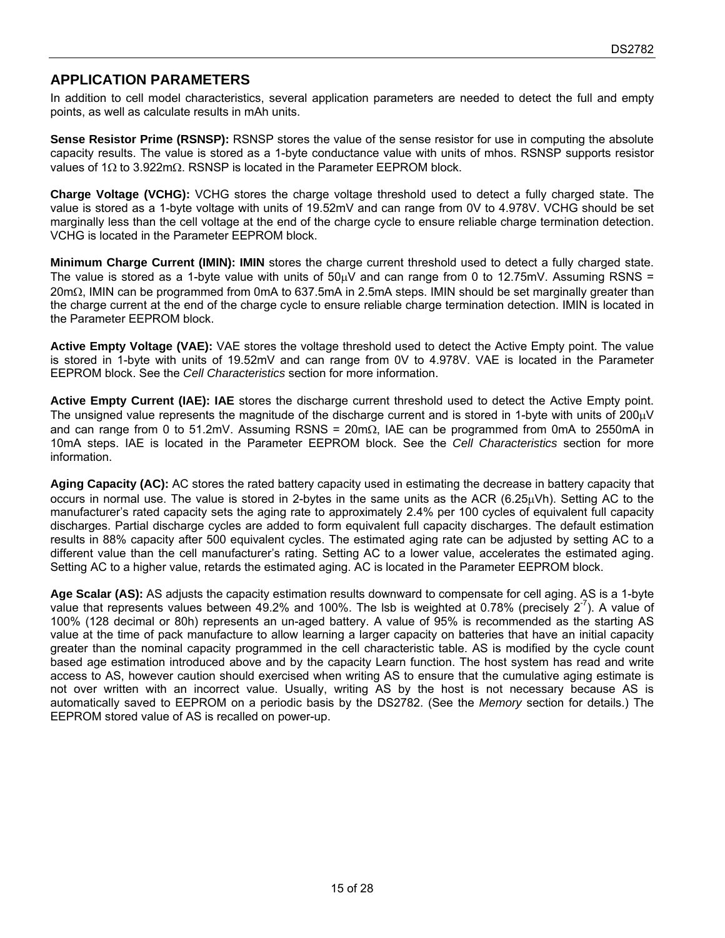## **APPLICATION PARAMETERS**

In addition to cell model characteristics, several application parameters are needed to detect the full and empty points, as well as calculate results in mAh units.

**Sense Resistor Prime (RSNSP):** RSNSP stores the value of the sense resistor for use in computing the absolute capacity results. The value is stored as a 1-byte conductance value with units of mhos. RSNSP supports resistor values of 1 $\Omega$  to 3.922m $\Omega$ . RSNSP is located in the Parameter EEPROM block.

**Charge Voltage (VCHG):** VCHG stores the charge voltage threshold used to detect a fully charged state. The value is stored as a 1-byte voltage with units of 19.52mV and can range from 0V to 4.978V. VCHG should be set marginally less than the cell voltage at the end of the charge cycle to ensure reliable charge termination detection. VCHG is located in the Parameter EEPROM block.

**Minimum Charge Current (IMIN): IMIN** stores the charge current threshold used to detect a fully charged state. The value is stored as a 1-byte value with units of  $50\mu$ V and can range from 0 to 12.75mV. Assuming RSNS =  $20 \text{m}\Omega$ , IMIN can be programmed from 0mA to 637.5mA in 2.5mA steps. IMIN should be set marginally greater than the charge current at the end of the charge cycle to ensure reliable charge termination detection. IMIN is located in the Parameter EEPROM block.

**Active Empty Voltage (VAE):** VAE stores the voltage threshold used to detect the Active Empty point. The value is stored in 1-byte with units of 19.52mV and can range from 0V to 4.978V. VAE is located in the Parameter EEPROM block. See the *Cell Characteristics* section for more information.

**Active Empty Current (IAE): IAE** stores the discharge current threshold used to detect the Active Empty point. The unsigned value represents the magnitude of the discharge current and is stored in 1-byte with units of  $200\mu$ V and can range from 0 to 51.2mV. Assuming RSNS =  $20 \text{m}\Omega$ , IAE can be programmed from 0mA to 2550mA in 10mA steps. IAE is located in the Parameter EEPROM block. See the *Cell Characteristics* section for more information.

**Aging Capacity (AC):** AC stores the rated battery capacity used in estimating the decrease in battery capacity that occurs in normal use. The value is stored in 2-bytes in the same units as the ACR (6.25 $\mu$ Vh). Setting AC to the manufacturer's rated capacity sets the aging rate to approximately 2.4% per 100 cycles of equivalent full capacity discharges. Partial discharge cycles are added to form equivalent full capacity discharges. The default estimation results in 88% capacity after 500 equivalent cycles. The estimated aging rate can be adjusted by setting AC to a different value than the cell manufacturer's rating. Setting AC to a lower value, accelerates the estimated aging. Setting AC to a higher value, retards the estimated aging. AC is located in the Parameter EEPROM block.

**Age Scalar (AS):** AS adjusts the capacity estimation results downward to compensate for cell aging. AS is a 1-byte value that represents values between 49.2% and 100%. The lsb is weighted at 0.78% (precisely  $2^{-7}$ ). A value of 100% (128 decimal or 80h) represents an un-aged battery. A value of 95% is recommended as the starting AS value at the time of pack manufacture to allow learning a larger capacity on batteries that have an initial capacity greater than the nominal capacity programmed in the cell characteristic table. AS is modified by the cycle count based age estimation introduced above and by the capacity Learn function. The host system has read and write access to AS, however caution should exercised when writing AS to ensure that the cumulative aging estimate is not over written with an incorrect value. Usually, writing AS by the host is not necessary because AS is automatically saved to EEPROM on a periodic basis by the DS2782. (See the *Memory* section for details.) The EEPROM stored value of AS is recalled on power-up.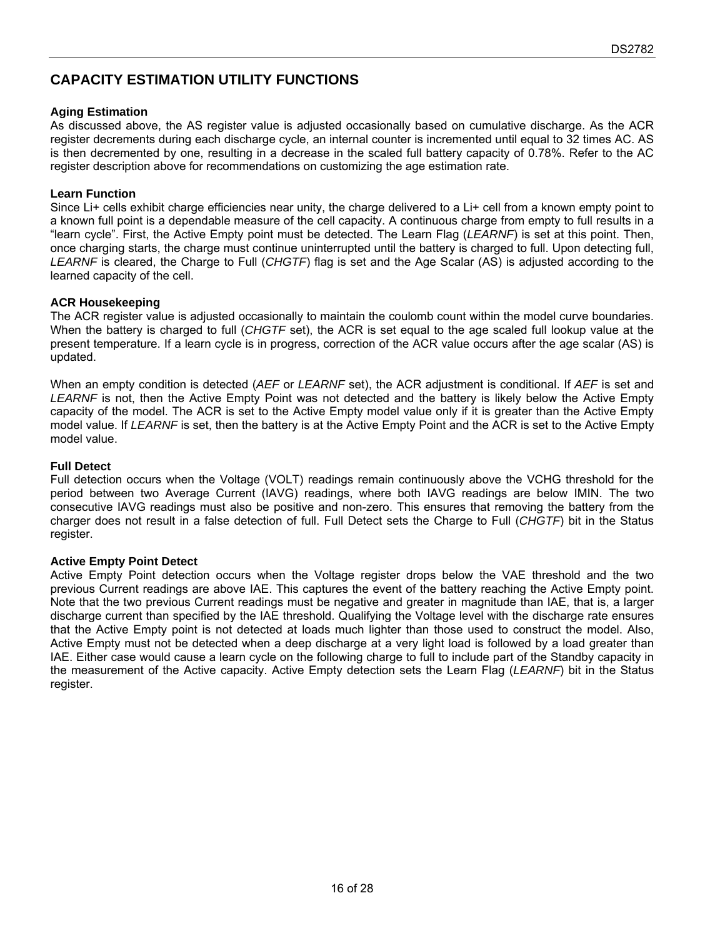## **CAPACITY ESTIMATION UTILITY FUNCTIONS**

#### **Aging Estimation**

As discussed above, the AS register value is adjusted occasionally based on cumulative discharge. As the ACR register decrements during each discharge cycle, an internal counter is incremented until equal to 32 times AC. AS is then decremented by one, resulting in a decrease in the scaled full battery capacity of 0.78%. Refer to the AC register description above for recommendations on customizing the age estimation rate.

#### **Learn Function**

Since Li+ cells exhibit charge efficiencies near unity, the charge delivered to a Li+ cell from a known empty point to a known full point is a dependable measure of the cell capacity. A continuous charge from empty to full results in a "learn cycle". First, the Active Empty point must be detected. The Learn Flag (*LEARNF*) is set at this point. Then, once charging starts, the charge must continue uninterrupted until the battery is charged to full. Upon detecting full, *LEARNF* is cleared, the Charge to Full (*CHGTF*) flag is set and the Age Scalar (AS) is adjusted according to the learned capacity of the cell.

#### **ACR Housekeeping**

The ACR register value is adjusted occasionally to maintain the coulomb count within the model curve boundaries. When the battery is charged to full (*CHGTF* set), the ACR is set equal to the age scaled full lookup value at the present temperature. If a learn cycle is in progress, correction of the ACR value occurs after the age scalar (AS) is updated.

When an empty condition is detected (*AEF* or *LEARNF* set), the ACR adjustment is conditional. If *AEF* is set and *LEARNF* is not, then the Active Empty Point was not detected and the battery is likely below the Active Empty capacity of the model. The ACR is set to the Active Empty model value only if it is greater than the Active Empty model value. If *LEARNF* is set, then the battery is at the Active Empty Point and the ACR is set to the Active Empty model value.

#### **Full Detect**

Full detection occurs when the Voltage (VOLT) readings remain continuously above the VCHG threshold for the period between two Average Current (IAVG) readings, where both IAVG readings are below IMIN. The two consecutive IAVG readings must also be positive and non-zero. This ensures that removing the battery from the charger does not result in a false detection of full. Full Detect sets the Charge to Full (*CHGTF*) bit in the Status register.

#### **Active Empty Point Detect**

Active Empty Point detection occurs when the Voltage register drops below the VAE threshold and the two previous Current readings are above IAE. This captures the event of the battery reaching the Active Empty point. Note that the two previous Current readings must be negative and greater in magnitude than IAE, that is, a larger discharge current than specified by the IAE threshold. Qualifying the Voltage level with the discharge rate ensures that the Active Empty point is not detected at loads much lighter than those used to construct the model. Also, Active Empty must not be detected when a deep discharge at a very light load is followed by a load greater than IAE. Either case would cause a learn cycle on the following charge to full to include part of the Standby capacity in the measurement of the Active capacity. Active Empty detection sets the Learn Flag (*LEARNF*) bit in the Status register.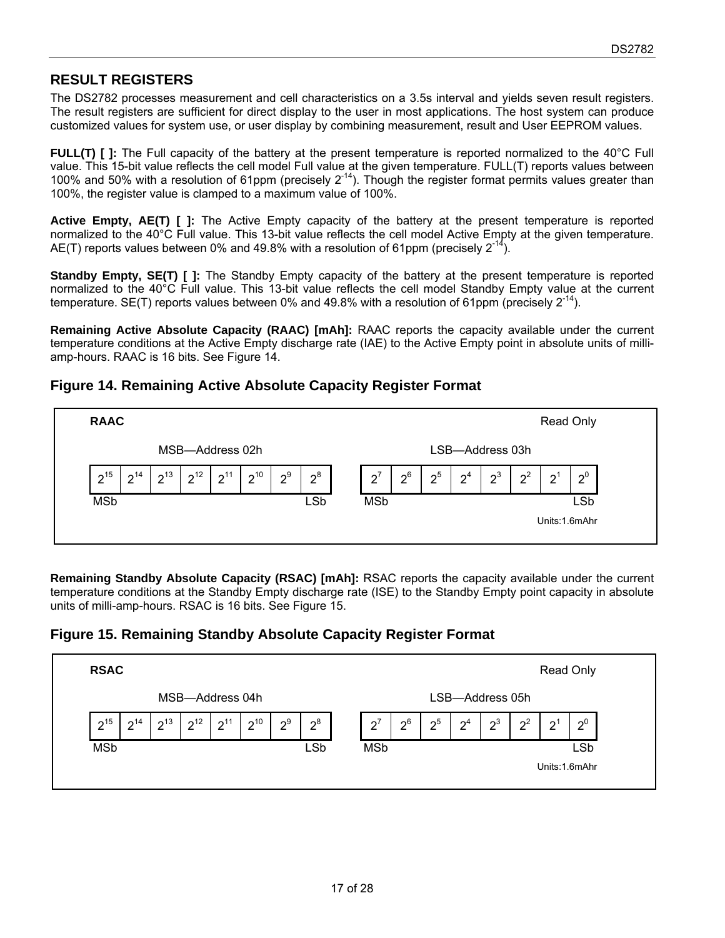## **RESULT REGISTERS**

The DS2782 processes measurement and cell characteristics on a 3.5s interval and yields seven result registers. The result registers are sufficient for direct display to the user in most applications. The host system can produce customized values for system use, or user display by combining measurement, result and User EEPROM values.

**FULL(T) [ ]:** The Full capacity of the battery at the present temperature is reported normalized to the 40°C Full value. This 15-bit value reflects the cell model Full value at the given temperature. FULL(T) reports values between 100% and 50% with a resolution of 61ppm (precisely  $2^{-14}$ ). Though the register format permits values greater than 100%, the register value is clamped to a maximum value of 100%.

**Active Empty, AE(T) [ ]:** The Active Empty capacity of the battery at the present temperature is reported normalized to the 40°C Full value. This 13-bit value reflects the cell model Active Empty at the given temperature. AE(T) reports values between 0% and 49.8% with a resolution of 61ppm (precisely  $2^{-14}$ ).

**Standby Empty, SE(T) [ ]:** The Standby Empty capacity of the battery at the present temperature is reported normalized to the 40°C Full value. This 13-bit value reflects the cell model Standby Empty value at the current temperature. SE(T) reports values between 0% and 49.8% with a resolution of 61ppm (precisely  $2^{-14}$ ).

**Remaining Active Absolute Capacity (RAAC) [mAh]:** RAAC reports the capacity available under the current temperature conditions at the Active Empty discharge rate (IAE) to the Active Empty point in absolute units of milliamp-hours. RAAC is 16 bits. See Figure 14.

### **Figure 14. Remaining Active Absolute Capacity Register Format**



**Remaining Standby Absolute Capacity (RSAC) [mAh]:** RSAC reports the capacity available under the current temperature conditions at the Standby Empty discharge rate (ISE) to the Standby Empty point capacity in absolute units of milli-amp-hours. RSAC is 16 bits. See Figure 15.

## **Figure 15. Remaining Standby Absolute Capacity Register Format**

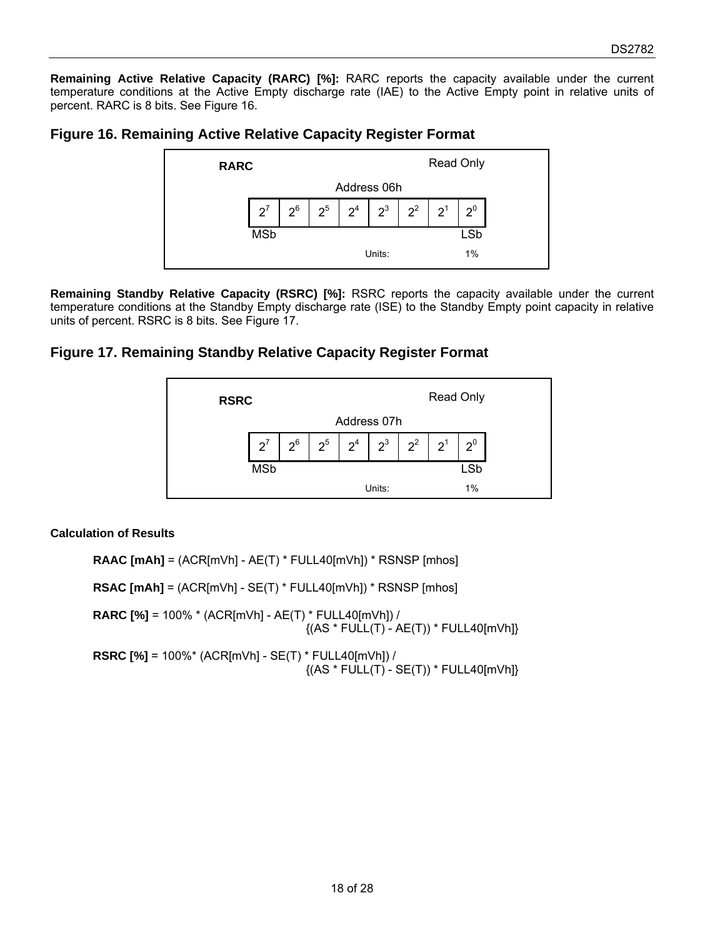**Remaining Active Relative Capacity (RARC) [%]:** RARC reports the capacity available under the current temperature conditions at the Active Empty discharge rate (IAE) to the Active Empty point in relative units of percent. RARC is 8 bits. See Figure 16.

### **Figure 16. Remaining Active Relative Capacity Register Format**



**Remaining Standby Relative Capacity (RSRC) [%]:** RSRC reports the capacity available under the current temperature conditions at the Standby Empty discharge rate (ISE) to the Standby Empty point capacity in relative units of percent. RSRC is 8 bits. See Figure 17.

### **Figure 17. Remaining Standby Relative Capacity Register Format**



#### **Calculation of Results**

**RAAC [mAh]** = (ACR[mVh] - AE(T) \* FULL40[mVh]) \* RSNSP [mhos] **RSAC [mAh]** = (ACR[mVh] - SE(T) \* FULL40[mVh]) \* RSNSP [mhos] **RARC [%]** = 100% \* (ACR[mVh] - AE(T) \* FULL40[mVh]) /  $\{(AS * FULL(T) - AE(T)) * FULL40[mVh]\}$ **RSRC [%]** = 100%\* (ACR[mVh] - SE(T) \* FULL40[mVh]) /  $\{(AS * FULL(T) - SE(T)) * FULL40[mVh]\}$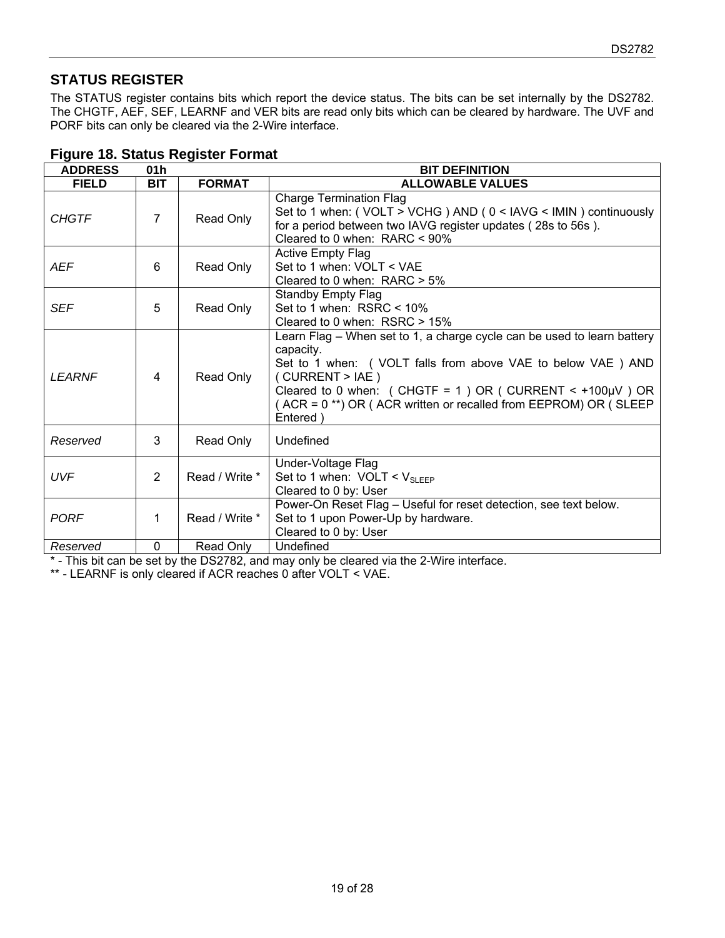## **STATUS REGISTER**

The STATUS register contains bits which report the device status. The bits can be set internally by the DS2782. The CHGTF, AEF, SEF, LEARNF and VER bits are read only bits which can be cleared by hardware. The UVF and PORF bits can only be cleared via the 2-Wire interface.

| <b>ADDRESS</b> | 01 <sub>h</sub> |                | <b>BIT DEFINITION</b>                                                                                                                                                                                                                                                                                                  |  |  |
|----------------|-----------------|----------------|------------------------------------------------------------------------------------------------------------------------------------------------------------------------------------------------------------------------------------------------------------------------------------------------------------------------|--|--|
| <b>FIELD</b>   | <b>BIT</b>      | <b>FORMAT</b>  | <b>ALLOWABLE VALUES</b>                                                                                                                                                                                                                                                                                                |  |  |
| <b>CHGTF</b>   | $\overline{7}$  | Read Only      | <b>Charge Termination Flag</b><br>Set to 1 when: (VOLT > VCHG) AND (0 < IAVG < IMIN) continuously<br>for a period between two IAVG register updates (28s to 56s).<br>Cleared to 0 when: $RARC < 90\%$                                                                                                                  |  |  |
| AEF            | 6               | Read Only      | <b>Active Empty Flag</b><br>Set to 1 when: VOLT < VAE<br>Cleared to 0 when: $RARC > 5%$                                                                                                                                                                                                                                |  |  |
| <b>SEF</b>     | 5               | Read Only      | <b>Standby Empty Flag</b><br>Set to 1 when: $RSRC < 10\%$<br>Cleared to 0 when: $RSRC > 15\%$                                                                                                                                                                                                                          |  |  |
| <b>LEARNE</b>  | $\overline{4}$  | Read Only      | Learn Flag – When set to 1, a charge cycle can be used to learn battery<br>capacity.<br>Set to 1 when: ( VOLT falls from above VAE to below VAE ) AND<br>( CURRENT > IAE)<br>Cleared to 0 when: $(CHGTF = 1) OR ( CURRENT < +100µV) OR$<br>(ACR = 0 **) OR (ACR written or recalled from EEPROM) OR (SLEEP<br>Entered) |  |  |
| Reserved       | 3               | Read Only      | Undefined                                                                                                                                                                                                                                                                                                              |  |  |
| <b>UVF</b>     | 2               | Read / Write * | Under-Voltage Flag<br>Set to 1 when: $VOLT < V_{SLEEP}$<br>Cleared to 0 by: User                                                                                                                                                                                                                                       |  |  |
| <b>PORF</b>    | 1               | Read / Write * | Power-On Reset Flag - Useful for reset detection, see text below.<br>Set to 1 upon Power-Up by hardware.<br>Cleared to 0 by: User                                                                                                                                                                                      |  |  |
| Reserved       | 0               | Read Only      | Undefined                                                                                                                                                                                                                                                                                                              |  |  |

## **Figure 18. Status Register Format**

\* - This bit can be set by the DS2782, and may only be cleared via the 2-Wire interface.

\*\* - LEARNF is only cleared if ACR reaches 0 after VOLT < VAE.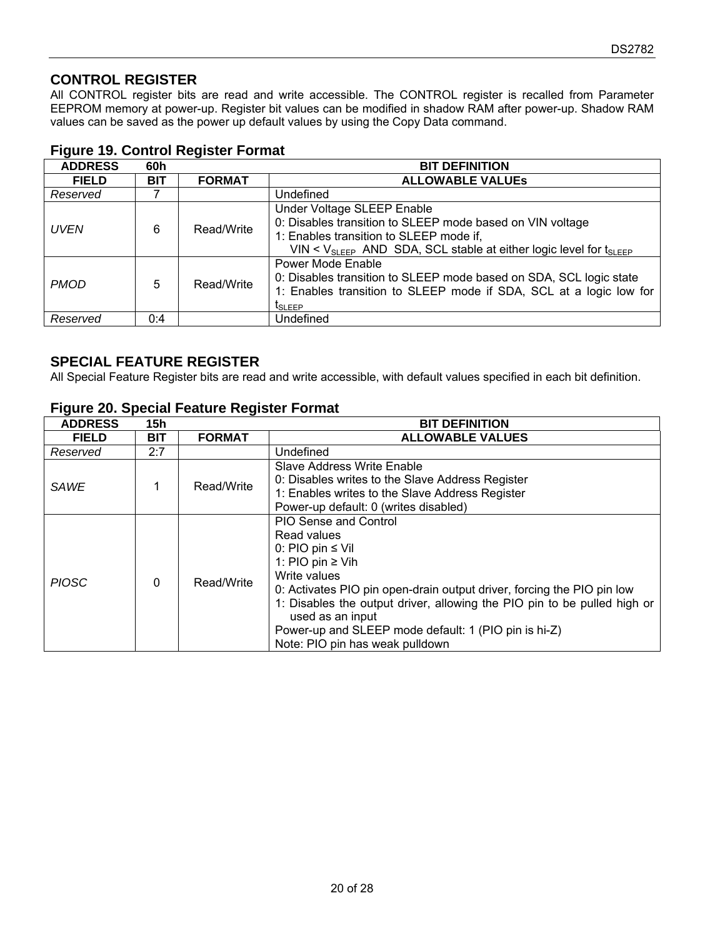## **CONTROL REGISTER**

All CONTROL register bits are read and write accessible. The CONTROL register is recalled from Parameter EEPROM memory at power-up. Register bit values can be modified in shadow RAM after power-up. Shadow RAM values can be saved as the power up default values by using the Copy Data command.

| <b>ADDRESS</b> | 60h        |               | <b>BIT DEFINITION</b>                                                                                                                                                                                                         |
|----------------|------------|---------------|-------------------------------------------------------------------------------------------------------------------------------------------------------------------------------------------------------------------------------|
| <b>FIELD</b>   | <b>BIT</b> | <b>FORMAT</b> | <b>ALLOWABLE VALUES</b>                                                                                                                                                                                                       |
| Reserved       |            |               | Undefined                                                                                                                                                                                                                     |
| <b>UVEN</b>    | 6          | Read/Write    | Under Voltage SLEEP Enable<br>0: Disables transition to SLEEP mode based on VIN voltage<br>1: Enables transition to SLEEP mode if,<br>VIN < $V_{SI}$ $_{EFP}$ AND SDA, SCL stable at either logic level for $t_{SI}$ $_{EFP}$ |
| <b>PMOD</b>    | 5          | Read/Write    | Power Mode Enable<br>0: Disables transition to SLEEP mode based on SDA, SCL logic state<br>1: Enables transition to SLEEP mode if SDA, SCL at a logic low for<br><b>I</b> SLEEP                                               |
| Reserved       | 0:4        |               | Undefined                                                                                                                                                                                                                     |

## **Figure 19. Control Register Format**

### **SPECIAL FEATURE REGISTER**

All Special Feature Register bits are read and write accessible, with default values specified in each bit definition.

| <b>ADDRESS</b> | 15h      |               | <b>BIT DEFINITION</b>                                                                                                                                                                                                                                                                                                                                                              |  |  |
|----------------|----------|---------------|------------------------------------------------------------------------------------------------------------------------------------------------------------------------------------------------------------------------------------------------------------------------------------------------------------------------------------------------------------------------------------|--|--|
| <b>FIELD</b>   | BIT      | <b>FORMAT</b> | <b>ALLOWABLE VALUES</b>                                                                                                                                                                                                                                                                                                                                                            |  |  |
| Reserved       | 2:7      |               | Undefined                                                                                                                                                                                                                                                                                                                                                                          |  |  |
| <b>SAWE</b>    |          | Read/Write    | Slave Address Write Enable<br>0: Disables writes to the Slave Address Register<br>1: Enables writes to the Slave Address Register<br>Power-up default: 0 (writes disabled)                                                                                                                                                                                                         |  |  |
| <b>PIOSC</b>   | $\Omega$ | Read/Write    | <b>PIO Sense and Control</b><br>Read values<br>0: PIO pin $\leq$ Vil<br>1: PIO pin $\geq$ Vih<br>Write values<br>0: Activates PIO pin open-drain output driver, forcing the PIO pin low<br>1: Disables the output driver, allowing the PIO pin to be pulled high or<br>used as an input<br>Power-up and SLEEP mode default: 1 (PIO pin is hi-Z)<br>Note: PIO pin has weak pulldown |  |  |

#### **Figure 20. Special Feature Register Format**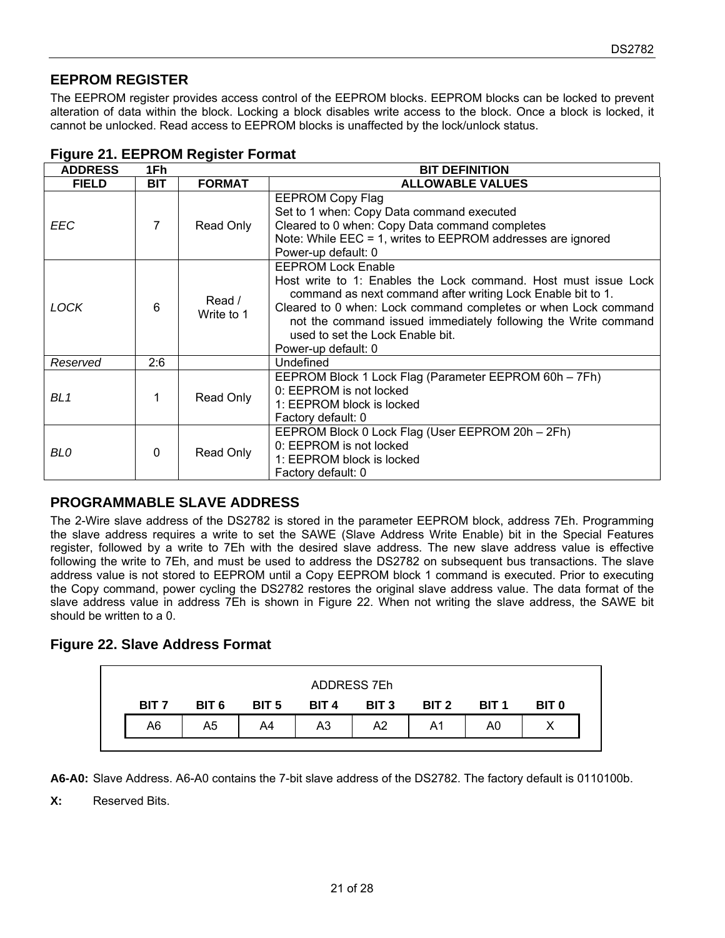## **EEPROM REGISTER**

The EEPROM register provides access control of the EEPROM blocks. EEPROM blocks can be locked to prevent alteration of data within the block. Locking a block disables write access to the block. Once a block is locked, it cannot be unlocked. Read access to EEPROM blocks is unaffected by the lock/unlock status.

| <b>ADDRESS</b> | 1Fh        |                      | <b>BIT DEFINITION</b>                                                                                                                                                                                                                                                                                                                                      |  |  |  |
|----------------|------------|----------------------|------------------------------------------------------------------------------------------------------------------------------------------------------------------------------------------------------------------------------------------------------------------------------------------------------------------------------------------------------------|--|--|--|
| <b>FIELD</b>   | <b>BIT</b> | <b>FORMAT</b>        | <b>ALLOWABLE VALUES</b>                                                                                                                                                                                                                                                                                                                                    |  |  |  |
| EEC            | 7          | Read Only            | <b>EEPROM Copy Flag</b><br>Set to 1 when: Copy Data command executed<br>Cleared to 0 when: Copy Data command completes<br>Note: While EEC = 1, writes to EEPROM addresses are ignored<br>Power-up default: 0                                                                                                                                               |  |  |  |
| <b>LOCK</b>    | 6          | Read /<br>Write to 1 | <b>EEPROM Lock Enable</b><br>Host write to 1: Enables the Lock command. Host must issue Lock<br>command as next command after writing Lock Enable bit to 1.<br>Cleared to 0 when: Lock command completes or when Lock command<br>not the command issued immediately following the Write command<br>used to set the Lock Enable bit.<br>Power-up default: 0 |  |  |  |
| Reserved       | 2:6        |                      | Undefined                                                                                                                                                                                                                                                                                                                                                  |  |  |  |
| BL 1           |            | Read Only            | EEPROM Block 1 Lock Flag (Parameter EEPROM 60h - 7Fh)<br>0: EEPROM is not locked<br>1: EEPROM block is locked<br>Factory default: 0                                                                                                                                                                                                                        |  |  |  |
| BL0            | $\Omega$   | Read Only            | EEPROM Block 0 Lock Flag (User EEPROM 20h - 2Fh)<br>0: EEPROM is not locked<br>1: EEPROM block is locked<br>Factory default: 0                                                                                                                                                                                                                             |  |  |  |

#### **Figure 21. EEPROM Register Format**

### **PROGRAMMABLE SLAVE ADDRESS**

The 2-Wire slave address of the DS2782 is stored in the parameter EEPROM block, address 7Eh. Programming the slave address requires a write to set the SAWE (Slave Address Write Enable) bit in the Special Features register, followed by a write to 7Eh with the desired slave address. The new slave address value is effective following the write to 7Eh, and must be used to address the DS2782 on subsequent bus transactions. The slave address value is not stored to EEPROM until a Copy EEPROM block 1 command is executed. Prior to executing the Copy command, power cycling the DS2782 restores the original slave address value. The data format of the slave address value in address 7Eh is shown in Figure 22. When not writing the slave address, the SAWE bit should be written to a 0.

## **Figure 22. Slave Address Format**

|                  |                  |                  |                  | ADDRESS 7Eh      |       |                  |              |
|------------------|------------------|------------------|------------------|------------------|-------|------------------|--------------|
| BIT <sub>7</sub> | BIT <sub>6</sub> | BIT <sub>5</sub> | BIT <sub>4</sub> | BIT <sub>3</sub> | BIT 2 | BIT <sub>1</sub> | <b>BIT 0</b> |
| A6               | A5               | A4               | A3               | A2               | A1    | A0               |              |

**A6-A0:** Slave Address. A6-A0 contains the 7-bit slave address of the DS2782. The factory default is 0110100b.

**X:** Reserved Bits.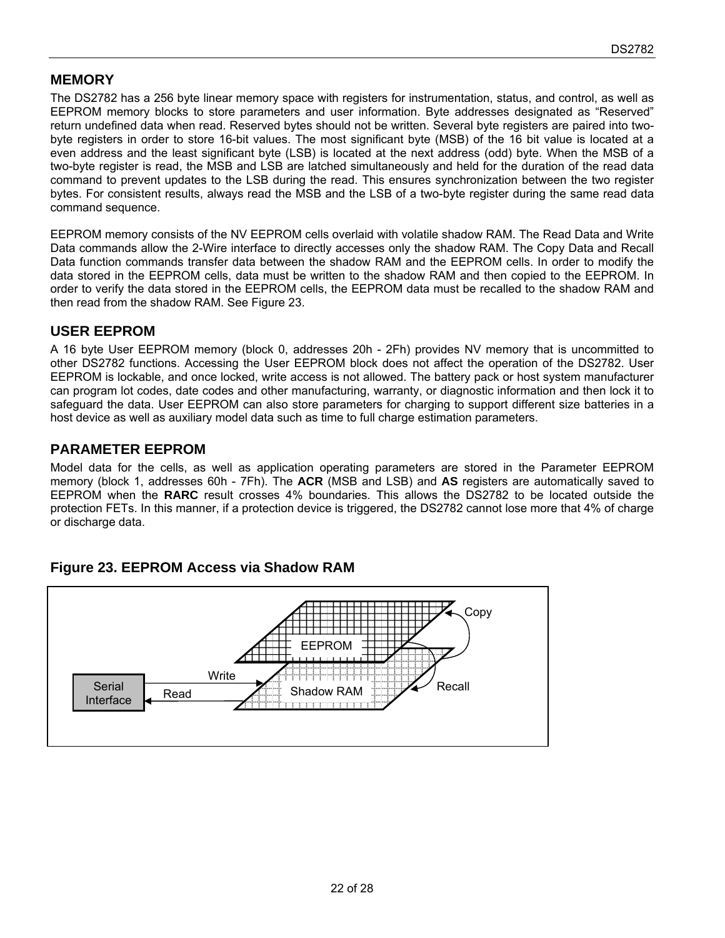### **MEMORY**

The DS2782 has a 256 byte linear memory space with registers for instrumentation, status, and control, as well as EEPROM memory blocks to store parameters and user information. Byte addresses designated as "Reserved" return undefined data when read. Reserved bytes should not be written. Several byte registers are paired into twobyte registers in order to store 16-bit values. The most significant byte (MSB) of the 16 bit value is located at a even address and the least significant byte (LSB) is located at the next address (odd) byte. When the MSB of a two-byte register is read, the MSB and LSB are latched simultaneously and held for the duration of the read data command to prevent updates to the LSB during the read. This ensures synchronization between the two register bytes. For consistent results, always read the MSB and the LSB of a two-byte register during the same read data command sequence.

EEPROM memory consists of the NV EEPROM cells overlaid with volatile shadow RAM. The Read Data and Write Data commands allow the 2-Wire interface to directly accesses only the shadow RAM. The Copy Data and Recall Data function commands transfer data between the shadow RAM and the EEPROM cells. In order to modify the data stored in the EEPROM cells, data must be written to the shadow RAM and then copied to the EEPROM. In order to verify the data stored in the EEPROM cells, the EEPROM data must be recalled to the shadow RAM and then read from the shadow RAM. See Figure 23.

### **USER EEPROM**

A 16 byte User EEPROM memory (block 0, addresses 20h - 2Fh) provides NV memory that is uncommitted to other DS2782 functions. Accessing the User EEPROM block does not affect the operation of the DS2782. User EEPROM is lockable, and once locked, write access is not allowed. The battery pack or host system manufacturer can program lot codes, date codes and other manufacturing, warranty, or diagnostic information and then lock it to safeguard the data. User EEPROM can also store parameters for charging to support different size batteries in a host device as well as auxiliary model data such as time to full charge estimation parameters.

## **PARAMETER EEPROM**

Model data for the cells, as well as application operating parameters are stored in the Parameter EEPROM memory (block 1, addresses 60h - 7Fh). The **ACR** (MSB and LSB) and **AS** registers are automatically saved to EEPROM when the **RARC** result crosses 4% boundaries. This allows the DS2782 to be located outside the protection FETs. In this manner, if a protection device is triggered, the DS2782 cannot lose more that 4% of charge or discharge data.



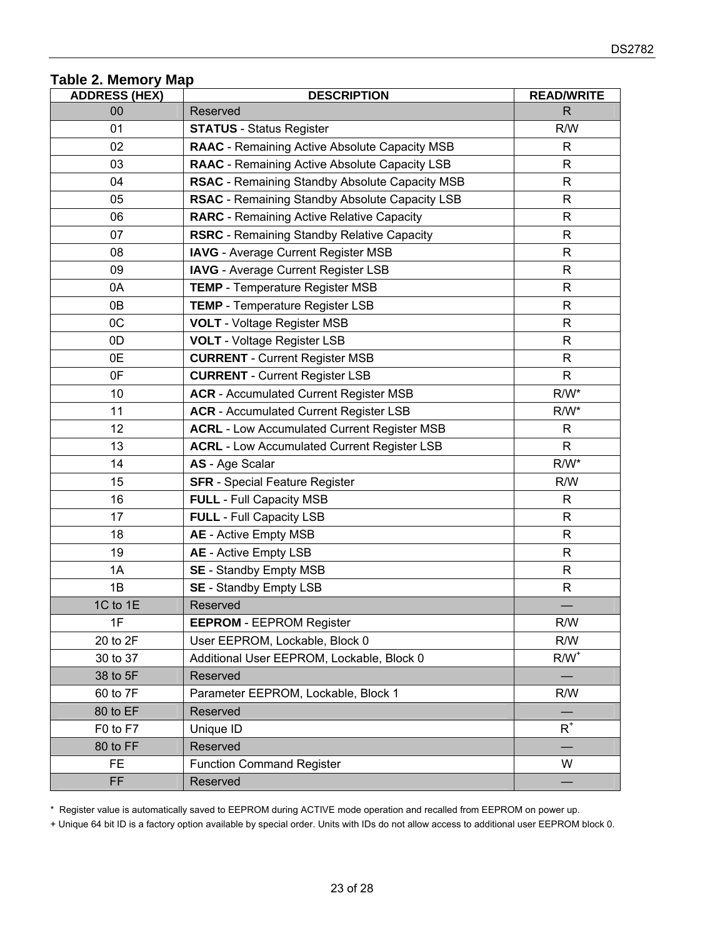## **Table 2. Memory Map**

| <b>ADDRESS (HEX)</b> | <b>DESCRIPTION</b>                                   | <b>READ/WRITE</b> |
|----------------------|------------------------------------------------------|-------------------|
| 00                   | Reserved                                             | R.                |
| 01                   | <b>STATUS</b> - Status Register                      | R/W               |
| 02                   | <b>RAAC</b> - Remaining Active Absolute Capacity MSB | R.                |
| 03                   | RAAC - Remaining Active Absolute Capacity LSB        | $\mathsf{R}$      |
| 04                   | RSAC - Remaining Standby Absolute Capacity MSB       | R                 |
| 05                   | RSAC - Remaining Standby Absolute Capacity LSB       | $\mathsf{R}$      |
| 06                   | <b>RARC</b> - Remaining Active Relative Capacity     | R                 |
| 07                   | <b>RSRC</b> - Remaining Standby Relative Capacity    | R                 |
| 08                   | <b>IAVG</b> - Average Current Register MSB           | R                 |
| 09                   | <b>IAVG</b> - Average Current Register LSB           | R                 |
| 0A                   | <b>TEMP</b> - Temperature Register MSB               | R                 |
| 0B                   | TEMP - Temperature Register LSB                      | $\mathsf{R}$      |
| OC                   | <b>VOLT</b> - Voltage Register MSB                   | R                 |
| 0D                   | <b>VOLT</b> - Voltage Register LSB                   | R                 |
| 0E                   | <b>CURRENT</b> - Current Register MSB                | R                 |
| 0F                   | <b>CURRENT</b> - Current Register LSB                | $\mathsf{R}$      |
| 10                   | <b>ACR</b> - Accumulated Current Register MSB        | $R/W^*$           |
| 11                   | <b>ACR</b> - Accumulated Current Register LSB        | $R/W^*$           |
| 12                   | <b>ACRL - Low Accumulated Current Register MSB</b>   | R                 |
| 13                   | <b>ACRL</b> - Low Accumulated Current Register LSB   | $\mathsf{R}$      |
| 14                   | AS - Age Scalar                                      | $R/W^*$           |
| 15                   | <b>SFR</b> - Special Feature Register                | R/W               |
| 16                   | <b>FULL</b> - Full Capacity MSB                      | R                 |
| 17                   | <b>FULL</b> - Full Capacity LSB                      | R                 |
| 18                   | <b>AE</b> - Active Empty MSB                         | R                 |
| 19                   | AE - Active Empty LSB                                | R                 |
| 1A                   | <b>SE</b> - Standby Empty MSB                        | R                 |
| 1B                   | <b>SE</b> - Standby Empty LSB                        | R                 |
| 1C to 1E             | Reserved                                             |                   |
| 1F                   | <b>EEPROM - EEPROM Register</b>                      | R/W               |
| 20 to 2F             | User EEPROM, Lockable, Block 0                       | R/W               |
| 30 to 37             | Additional User EEPROM, Lockable, Block 0            | $R/W^+$           |
| 38 to 5F             | Reserved                                             |                   |
| 60 to 7F             | Parameter EEPROM, Lockable, Block 1                  | R/W               |
| 80 to EF             | Reserved                                             |                   |
| F0 to F7             | Unique ID                                            | $\mathsf{R}^*$    |
| 80 to FF             | Reserved                                             |                   |
| FE.                  | <b>Function Command Register</b>                     | W                 |
| FF.                  | Reserved                                             |                   |

\* Register value is automatically saved to EEPROM during ACTIVE mode operation and recalled from EEPROM on power up.

+ Unique 64 bit ID is a factory option available by special order. Units with IDs do not allow access to additional user EEPROM block 0.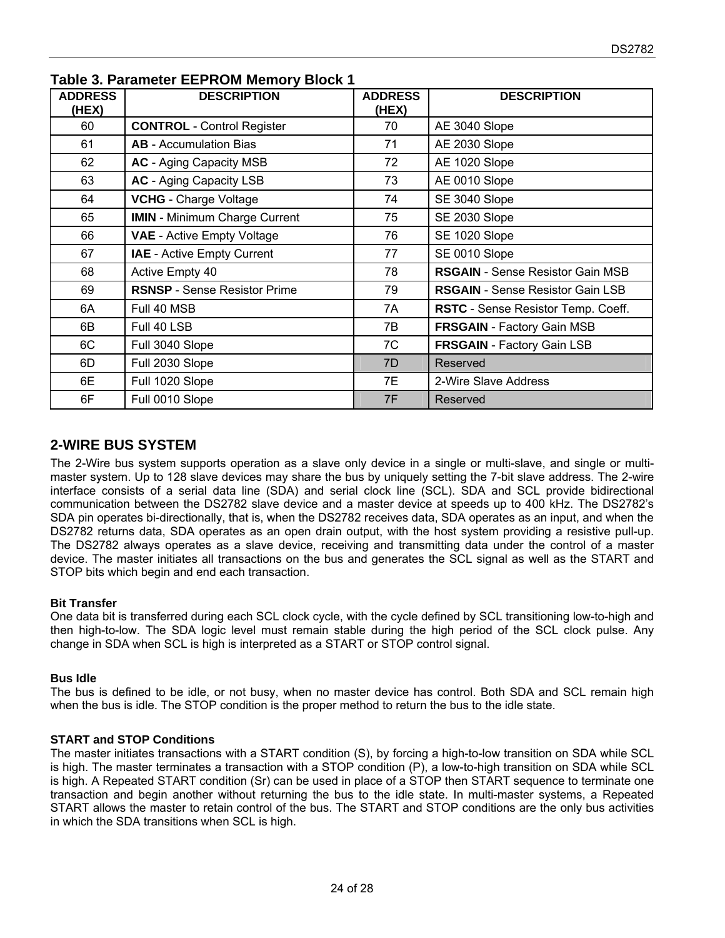| <b>ADDRESS</b><br>(HEX) | <b>DESCRIPTION</b>                   | <b>ADDRESS</b><br>(HEX) | <b>DESCRIPTION</b>                      |
|-------------------------|--------------------------------------|-------------------------|-----------------------------------------|
| 60                      | <b>CONTROL</b> - Control Register    | 70                      | AE 3040 Slope                           |
| 61                      | <b>AB</b> - Accumulation Bias        | 71                      | AE 2030 Slope                           |
| 62                      | <b>AC</b> - Aging Capacity MSB       | 72                      | AE 1020 Slope                           |
| 63                      | <b>AC</b> - Aging Capacity LSB       | 73                      | AE 0010 Slope                           |
| 64                      | <b>VCHG</b> - Charge Voltage         | 74                      | SE 3040 Slope                           |
| 65                      | <b>IMIN</b> - Minimum Charge Current | 75                      | SE 2030 Slope                           |
| 66                      | <b>VAE</b> - Active Empty Voltage    | 76                      | SE 1020 Slope                           |
| 67                      | <b>IAE</b> - Active Empty Current    | 77                      | SE 0010 Slope                           |
| 68                      | Active Empty 40                      | 78                      | <b>RSGAIN</b> - Sense Resistor Gain MSB |
| 69                      | <b>RSNSP</b> - Sense Resistor Prime  | 79                      | <b>RSGAIN</b> - Sense Resistor Gain LSB |
| 6A                      | Full 40 MSB                          | 7A                      | RSTC - Sense Resistor Temp. Coeff.      |
| 6B                      | Full 40 LSB                          | 7B                      | <b>FRSGAIN</b> - Factory Gain MSB       |
| 6C                      | Full 3040 Slope                      | 7C                      | <b>FRSGAIN</b> - Factory Gain LSB       |
| 6D                      | Full 2030 Slope                      | 7D                      | Reserved                                |
| 6E                      | Full 1020 Slope                      | 7E                      | 2-Wire Slave Address                    |
| 6F                      | Full 0010 Slope                      | 7F                      | Reserved                                |

#### **Table 3. Parameter EEPROM Memory Block 1**

### **2-WIRE BUS SYSTEM**

The 2-Wire bus system supports operation as a slave only device in a single or multi-slave, and single or multimaster system. Up to 128 slave devices may share the bus by uniquely setting the 7-bit slave address. The 2-wire interface consists of a serial data line (SDA) and serial clock line (SCL). SDA and SCL provide bidirectional communication between the DS2782 slave device and a master device at speeds up to 400 kHz. The DS2782's SDA pin operates bi-directionally, that is, when the DS2782 receives data, SDA operates as an input, and when the DS2782 returns data, SDA operates as an open drain output, with the host system providing a resistive pull-up. The DS2782 always operates as a slave device, receiving and transmitting data under the control of a master device. The master initiates all transactions on the bus and generates the SCL signal as well as the START and STOP bits which begin and end each transaction.

#### **Bit Transfer**

One data bit is transferred during each SCL clock cycle, with the cycle defined by SCL transitioning low-to-high and then high-to-low. The SDA logic level must remain stable during the high period of the SCL clock pulse. Any change in SDA when SCL is high is interpreted as a START or STOP control signal.

#### **Bus Idle**

The bus is defined to be idle, or not busy, when no master device has control. Both SDA and SCL remain high when the bus is idle. The STOP condition is the proper method to return the bus to the idle state.

#### **START and STOP Conditions**

The master initiates transactions with a START condition (S), by forcing a high-to-low transition on SDA while SCL is high. The master terminates a transaction with a STOP condition (P), a low-to-high transition on SDA while SCL is high. A Repeated START condition (Sr) can be used in place of a STOP then START sequence to terminate one transaction and begin another without returning the bus to the idle state. In multi-master systems, a Repeated START allows the master to retain control of the bus. The START and STOP conditions are the only bus activities in which the SDA transitions when SCL is high.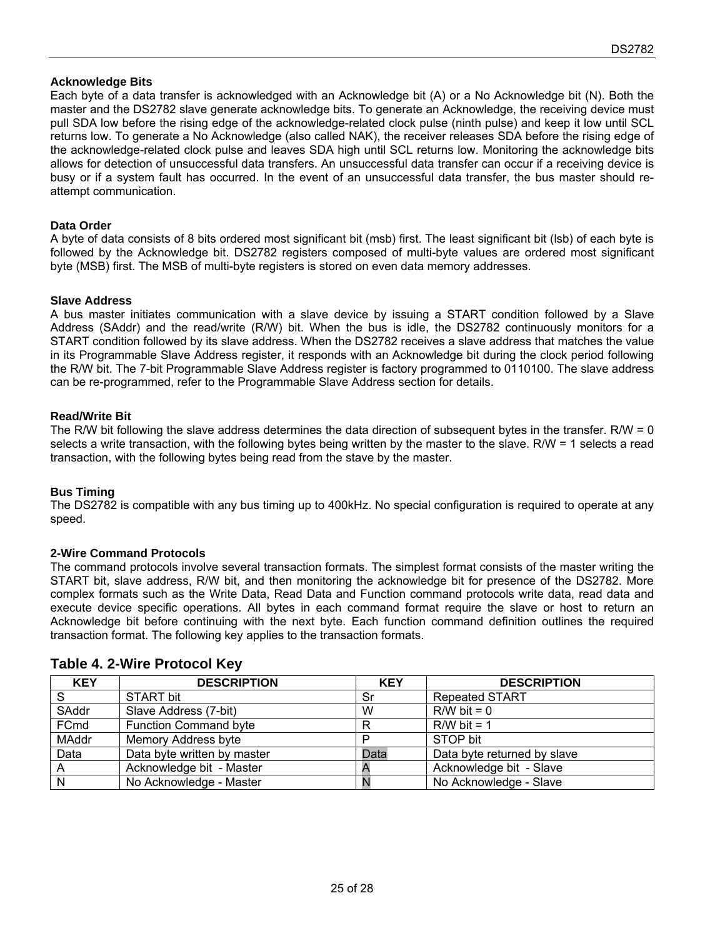#### **Acknowledge Bits**

Each byte of a data transfer is acknowledged with an Acknowledge bit (A) or a No Acknowledge bit (N). Both the master and the DS2782 slave generate acknowledge bits. To generate an Acknowledge, the receiving device must pull SDA low before the rising edge of the acknowledge-related clock pulse (ninth pulse) and keep it low until SCL returns low. To generate a No Acknowledge (also called NAK), the receiver releases SDA before the rising edge of the acknowledge-related clock pulse and leaves SDA high until SCL returns low. Monitoring the acknowledge bits allows for detection of unsuccessful data transfers. An unsuccessful data transfer can occur if a receiving device is busy or if a system fault has occurred. In the event of an unsuccessful data transfer, the bus master should reattempt communication.

#### **Data Order**

A byte of data consists of 8 bits ordered most significant bit (msb) first. The least significant bit (lsb) of each byte is followed by the Acknowledge bit. DS2782 registers composed of multi-byte values are ordered most significant byte (MSB) first. The MSB of multi-byte registers is stored on even data memory addresses.

#### **Slave Address**

A bus master initiates communication with a slave device by issuing a START condition followed by a Slave Address (SAddr) and the read/write (R/W) bit. When the bus is idle, the DS2782 continuously monitors for a START condition followed by its slave address. When the DS2782 receives a slave address that matches the value in its Programmable Slave Address register, it responds with an Acknowledge bit during the clock period following the R/W bit. The 7-bit Programmable Slave Address register is factory programmed to 0110100. The slave address can be re-programmed, refer to the Programmable Slave Address section for details.

#### **Read/Write Bit**

The R/W bit following the slave address determines the data direction of subsequent bytes in the transfer. R/W = 0 selects a write transaction, with the following bytes being written by the master to the slave. R/W = 1 selects a read transaction, with the following bytes being read from the stave by the master.

#### **Bus Timing**

The DS2782 is compatible with any bus timing up to 400kHz. No special configuration is required to operate at any speed.

#### **2-Wire Command Protocols**

The command protocols involve several transaction formats. The simplest format consists of the master writing the START bit, slave address, R/W bit, and then monitoring the acknowledge bit for presence of the DS2782. More complex formats such as the Write Data, Read Data and Function command protocols write data, read data and execute device specific operations. All bytes in each command format require the slave or host to return an Acknowledge bit before continuing with the next byte. Each function command definition outlines the required transaction format. The following key applies to the transaction formats.

| <b>KEY</b>   | <b>DESCRIPTION</b>           | <b>KEY</b> | <b>DESCRIPTION</b>          |
|--------------|------------------------------|------------|-----------------------------|
| $\mathbf{C}$ | <b>START bit</b>             | Sr         | <b>Repeated START</b>       |
| SAddr        | Slave Address (7-bit)        | W          | $R/W$ bit = 0               |
| FCmd         | <b>Function Command byte</b> | R          | $R/W$ bit = 1               |
| MAddr        | Memory Address byte          |            | STOP bit                    |
| Data         | Data byte written by master  | Data       | Data byte returned by slave |
|              | Acknowledge bit - Master     |            | Acknowledge bit - Slave     |
| N            | No Acknowledge - Master      |            | No Acknowledge - Slave      |

#### **Table 4. 2-Wire Protocol Key**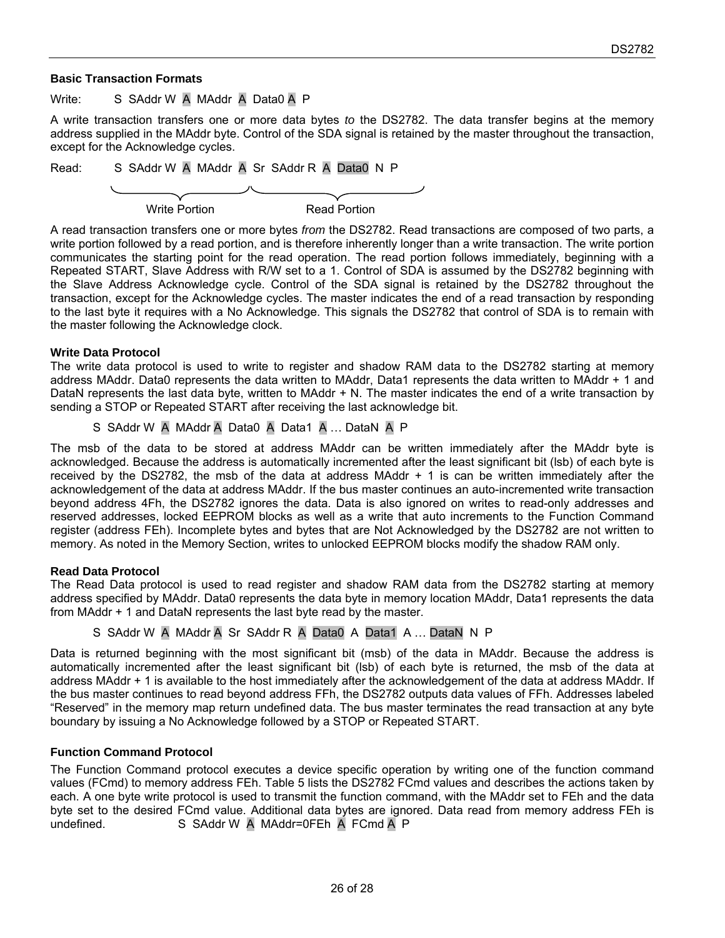#### **Basic Transaction Formats**

Write: S SAddr W A MAddr A Data0 A P

A write transaction transfers one or more data bytes *to* the DS2782. The data transfer begins at the memory address supplied in the MAddr byte. Control of the SDA signal is retained by the master throughout the transaction, except for the Acknowledge cycles.

Read: S SAddr W A MAddr A Sr SAddr R A Data0 N P

Write Portion **Read Portion** 

A read transaction transfers one or more bytes *from* the DS2782. Read transactions are composed of two parts, a write portion followed by a read portion, and is therefore inherently longer than a write transaction. The write portion communicates the starting point for the read operation. The read portion follows immediately, beginning with a Repeated START, Slave Address with R/W set to a 1. Control of SDA is assumed by the DS2782 beginning with the Slave Address Acknowledge cycle. Control of the SDA signal is retained by the DS2782 throughout the transaction, except for the Acknowledge cycles. The master indicates the end of a read transaction by responding to the last byte it requires with a No Acknowledge. This signals the DS2782 that control of SDA is to remain with the master following the Acknowledge clock.

#### **Write Data Protocol**

The write data protocol is used to write to register and shadow RAM data to the DS2782 starting at memory address MAddr. Data0 represents the data written to MAddr, Data1 represents the data written to MAddr + 1 and DataN represents the last data byte, written to MAddr + N. The master indicates the end of a write transaction by sending a STOP or Repeated START after receiving the last acknowledge bit.

S SAddr W A MAddr A Data0 A Data1 A … DataN A P

The msb of the data to be stored at address MAddr can be written immediately after the MAddr byte is acknowledged. Because the address is automatically incremented after the least significant bit (lsb) of each byte is received by the DS2782, the msb of the data at address MAddr + 1 is can be written immediately after the acknowledgement of the data at address MAddr. If the bus master continues an auto-incremented write transaction beyond address 4Fh, the DS2782 ignores the data. Data is also ignored on writes to read-only addresses and reserved addresses, locked EEPROM blocks as well as a write that auto increments to the Function Command register (address FEh). Incomplete bytes and bytes that are Not Acknowledged by the DS2782 are not written to memory. As noted in the Memory Section, writes to unlocked EEPROM blocks modify the shadow RAM only.

#### **Read Data Protocol**

The Read Data protocol is used to read register and shadow RAM data from the DS2782 starting at memory address specified by MAddr. Data0 represents the data byte in memory location MAddr, Data1 represents the data from MAddr + 1 and DataN represents the last byte read by the master.

S SAddr W A MAddr A Sr SAddr R A Data0 A Data1 A ... DataN N P

Data is returned beginning with the most significant bit (msb) of the data in MAddr. Because the address is automatically incremented after the least significant bit (lsb) of each byte is returned, the msb of the data at address MAddr + 1 is available to the host immediately after the acknowledgement of the data at address MAddr. If the bus master continues to read beyond address FFh, the DS2782 outputs data values of FFh. Addresses labeled "Reserved" in the memory map return undefined data. The bus master terminates the read transaction at any byte boundary by issuing a No Acknowledge followed by a STOP or Repeated START.

#### **Function Command Protocol**

The Function Command protocol executes a device specific operation by writing one of the function command values (FCmd) to memory address FEh. Table 5 lists the DS2782 FCmd values and describes the actions taken by each. A one byte write protocol is used to transmit the function command, with the MAddr set to FEh and the data byte set to the desired FCmd value. Additional data bytes are ignored. Data read from memory address FEh is undefined. S SAddr W A MAddr=0FEh A FCmd A P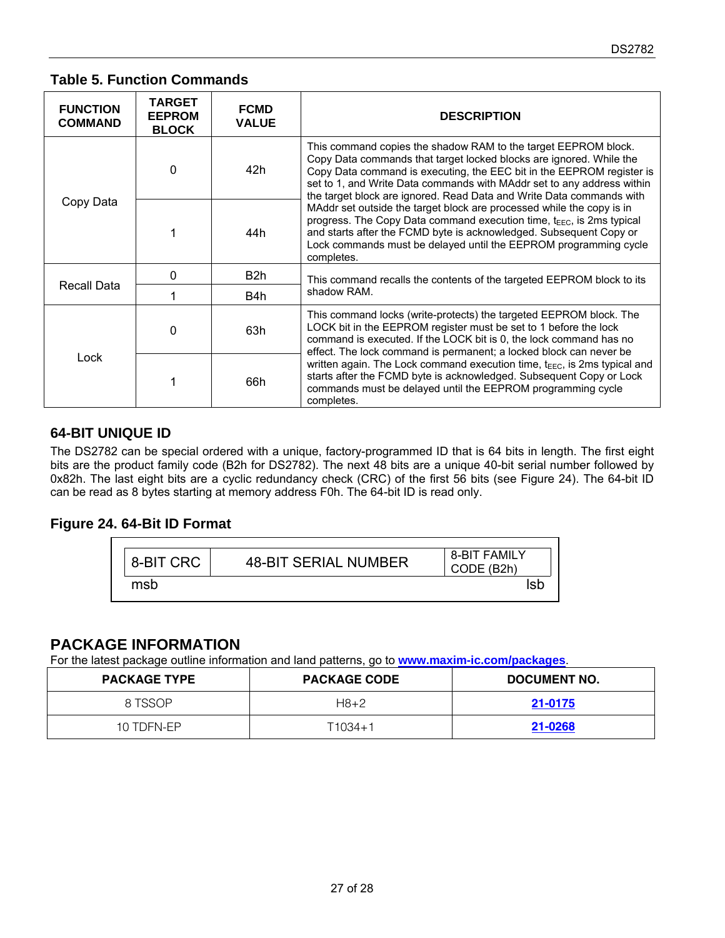#### **Table 5. Function Commands**

| <b>FUNCTION</b><br><b>COMMAND</b> | <b>TARGET</b><br><b>EEPROM</b><br><b>BLOCK</b> | <b>FCMD</b><br><b>VALUE</b> | <b>DESCRIPTION</b>                                                                                                                                                                                                                                                                                                                                                                                                                                                                                                                                                                                                                                                                     |  |  |  |
|-----------------------------------|------------------------------------------------|-----------------------------|----------------------------------------------------------------------------------------------------------------------------------------------------------------------------------------------------------------------------------------------------------------------------------------------------------------------------------------------------------------------------------------------------------------------------------------------------------------------------------------------------------------------------------------------------------------------------------------------------------------------------------------------------------------------------------------|--|--|--|
|                                   | $\Omega$                                       | 42h                         | This command copies the shadow RAM to the target EEPROM block.<br>Copy Data commands that target locked blocks are ignored. While the<br>Copy Data command is executing, the EEC bit in the EEPROM register is<br>set to 1, and Write Data commands with MAddr set to any address within<br>the target block are ignored. Read Data and Write Data commands with<br>MAddr set outside the target block are processed while the copy is in<br>progress. The Copy Data command execution time, t <sub>EEC</sub> , is 2ms typical<br>and starts after the FCMD byte is acknowledged. Subsequent Copy or<br>Lock commands must be delayed until the EEPROM programming cycle<br>completes. |  |  |  |
| Copy Data                         |                                                | 44h                         |                                                                                                                                                                                                                                                                                                                                                                                                                                                                                                                                                                                                                                                                                        |  |  |  |
|                                   | O                                              | B <sub>2</sub> h            | This command recalls the contents of the targeted EEPROM block to its<br>shadow RAM.                                                                                                                                                                                                                                                                                                                                                                                                                                                                                                                                                                                                   |  |  |  |
| Recall Data                       |                                                | B4h                         |                                                                                                                                                                                                                                                                                                                                                                                                                                                                                                                                                                                                                                                                                        |  |  |  |
|                                   | 0                                              | 63h                         | This command locks (write-protects) the targeted EEPROM block. The<br>LOCK bit in the EEPROM register must be set to 1 before the lock<br>command is executed. If the LOCK bit is 0, the lock command has no<br>effect. The lock command is permanent; a locked block can never be                                                                                                                                                                                                                                                                                                                                                                                                     |  |  |  |
| Lock                              |                                                | 66h                         | written again. The Lock command execution time, $t_{\text{EEC}}$ , is 2ms typical and<br>starts after the FCMD byte is acknowledged. Subsequent Copy or Lock<br>commands must be delayed until the EEPROM programming cycle<br>completes.                                                                                                                                                                                                                                                                                                                                                                                                                                              |  |  |  |

### **64-BIT UNIQUE ID**

The DS2782 can be special ordered with a unique, factory-programmed ID that is 64 bits in length. The first eight bits are the product family code (B2h for DS2782). The next 48 bits are a unique 40-bit serial number followed by 0x82h. The last eight bits are a cyclic redundancy check (CRC) of the first 56 bits (see Figure 24). The 64-bit ID can be read as 8 bytes starting at memory address F0h. The 64-bit ID is read only.

## **Figure 24. 64-Bit ID Format**



### **PACKAGE INFORMATION**

For the latest package outline information and land patterns, go to **[www.maxim-ic.com/packages](http://www.maxim-ic.com/packages)**.

| <b>PACKAGE TYPE</b> | <b>PACKAGE CODE</b> | DOCUMENT NO. |
|---------------------|---------------------|--------------|
| 8 TSSOP             | $H8+2$              | 21-0175      |
| 10 TDFN-EP          | T1034+1             | 21-0268      |